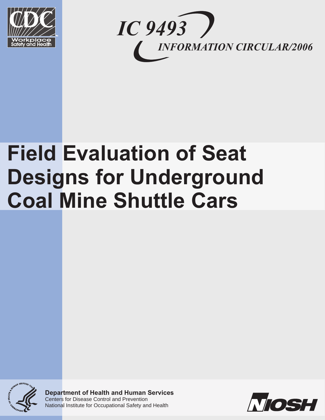



# **Field Evaluation of Seat Designs for Underground Coal Mine Shuttle Cars**



**Department of Health and Human Services**  Centers for Disease Control and Prevention National Institute for Occupational Safety and Health

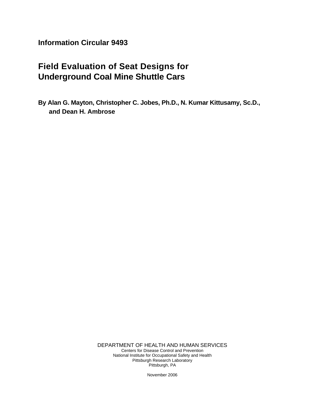**Information Circular 9493** 

## **Field Evaluation of Seat Designs for Underground Coal Mine Shuttle Cars**

**By Alan G. Mayton, Christopher C. Jobes, Ph.D., N. Kumar Kittusamy, Sc.D., and Dean H. Ambrose** 

> DEPARTMENT OF HEALTH AND HUMAN SERVICES Centers for Disease Control and Prevention National Institute for Occupational Safety and Health Pittsburgh Research Laboratory Pittsburgh, PA

> > November 2006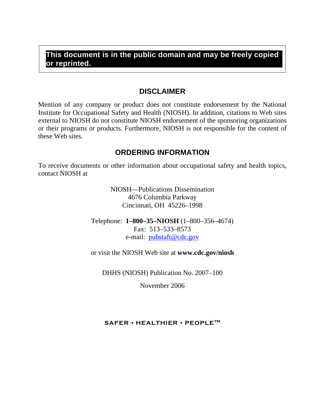## **This document is in the public domain and may be freely copied or reprinted.**

## **DISCLAIMER**

Mention of any company or product does not constitute endorsement by the National Institute for Occupational Safety and Health (NIOSH). In addition, citations to Web sites external to NIOSH do not constitute NIOSH endorsement of the sponsoring organizations or their programs or products. Furthermore, NIOSH is not responsible for the content of these Web sites.

## **ORDERING INFORMATION**

To receive documents or other information about occupational safety and health topics, contact NIOSH at

> NIOSH—Publications Dissemination 4676 Columbia Parkway Cincinnati, OH 45226–1998

Telephone: **1–800–35–NIOSH** (1–800–356–4674) Fax: 513–533–8573 e-mail: pubstaft@cdc.gov

or visit the NIOSH Web site at **www.cdc.gov/niosh** 

DHHS (NIOSH) Publication No. 2007–100

November 2006

## **SAFER • HEALTHIER • PEOPLE™**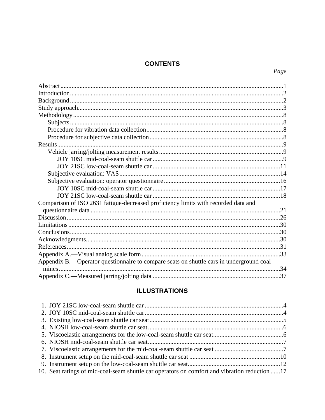## **CONTENTS**

| Comparison of ISO 2631 fatigue-decreased proficiency limits with recorded data and      |  |
|-----------------------------------------------------------------------------------------|--|
|                                                                                         |  |
|                                                                                         |  |
|                                                                                         |  |
|                                                                                         |  |
|                                                                                         |  |
|                                                                                         |  |
|                                                                                         |  |
| Appendix B.—Operator questionnaire to compare seats on shuttle cars in underground coal |  |
|                                                                                         |  |
|                                                                                         |  |
|                                                                                         |  |

## **ILLUSTRATIONS**

| 10. Seat ratings of mid-coal-seam shuttle car operators on comfort and vibration reduction 17 |  |
|-----------------------------------------------------------------------------------------------|--|
|                                                                                               |  |

## Page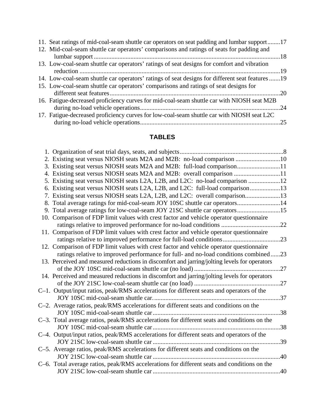| 11. Seat ratings of mid-coal-seam shuttle car operators on seat padding and lumbar support17   |  |
|------------------------------------------------------------------------------------------------|--|
| 12. Mid-coal-seam shuttle car operators' comparisons and ratings of seats for padding and      |  |
|                                                                                                |  |
| 13. Low-coal-seam shuttle car operators' ratings of seat designs for comfort and vibration     |  |
|                                                                                                |  |
| 14. Low-coal-seam shuttle car operators' ratings of seat designs for different seat features19 |  |
| 15. Low-coal-seam shuttle car operators' comparisons and ratings of seat designs for           |  |
|                                                                                                |  |
| 16. Fatigue-decreased proficiency curves for mid-coal-seam shuttle car with NIOSH seat M2B     |  |
|                                                                                                |  |
| 17. Fatigue-decreased proficiency curves for low-coal-seam shuttle car with NIOSH seat L2C     |  |
|                                                                                                |  |

## **TABLES**

| 2. Existing seat versus NIOSH seats M2A and M2B: no-load comparison 10                       |     |
|----------------------------------------------------------------------------------------------|-----|
| 3. Existing seat versus NIOSH seats M2A and M2B: full-load comparison11                      |     |
| 4. Existing seat versus NIOSH seats M2A and M2B: overall comparison 11                       |     |
| 5. Existing seat versus NIOSH seats L2A, L2B, and L2C: no-load comparison 12                 |     |
| 6. Existing seat versus NIOSH seats L2A, L2B, and L2C: full-load comparison13                |     |
| 7. Existing seat versus NIOSH seats L2A, L2B, and L2C: overall comparison13                  |     |
| 8. Total average ratings for mid-coal-seam JOY 10SC shuttle car operators14                  |     |
| 9. Total average ratings for low-coal-seam JOY 21SC shuttle car operators15                  |     |
| 10. Comparison of FDP limit values with crest factor and vehicle operator questionnaire      |     |
|                                                                                              |     |
| 11. Comparison of FDP limit values with crest factor and vehicle operator questionnaire      |     |
| ratings relative to improved performance for full-load conditions23                          |     |
| 12. Comparison of FDP limit values with crest factor and vehicle operator questionnaire      |     |
| ratings relative to improved performance for full- and no-load conditions combined23         |     |
| 13. Perceived and measured reductions in discomfort and jarring/jolting levels for operators |     |
|                                                                                              |     |
| 14. Perceived and measured reductions in discomfort and jarring/jolting levels for operators |     |
|                                                                                              |     |
| C-1. Output/input ratios, peak/RMS accelerations for different seats and operators of the    |     |
|                                                                                              |     |
| C-2. Average ratios, peak/RMS accelerations for different seats and conditions on the        |     |
|                                                                                              | .38 |
| C-3. Total average ratios, peak/RMS accelerations for different seats and conditions on the  |     |
|                                                                                              | .38 |
| C-4. Output/input ratios, peak/RMS accelerations for different seats and operators of the    |     |
|                                                                                              | .39 |
| C-5. Average ratios, peak/RMS accelerations for different seats and conditions on the        |     |
|                                                                                              | .40 |
| C-6. Total average ratios, peak/RMS accelerations for different seats and conditions on the  |     |
|                                                                                              |     |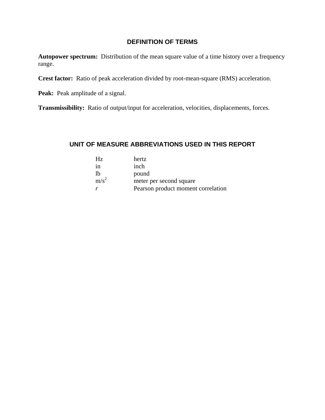## **DEFINITION OF TERMS**

**Autopower spectrum:** Distribution of the mean square value of a time history over a frequency range.

**Crest factor:** Ratio of peak acceleration divided by root-mean-square (RMS) acceleration.

**Peak:** Peak amplitude of a signal.

**Transmissibility:** Ratio of output/input for acceleration, velocities, displacements, forces.

## **UNIT OF MEASURE ABBREVIATIONS USED IN THIS REPORT**

| Hz.     | hertz                              |
|---------|------------------------------------|
| ın      | inch                               |
| lh      | pound                              |
| $m/s^2$ | meter per second square            |
|         | Pearson product moment correlation |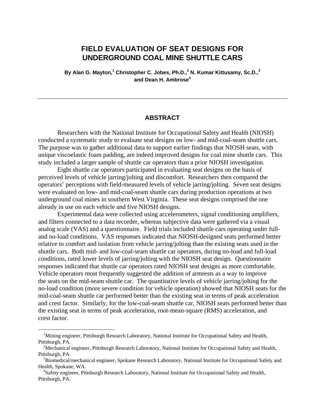## **FIELD EVALUATION OF SEAT DESIGNS FOR UNDERGROUND COAL MINE SHUTTLE CARS**

By Alan G. Mayton,<sup>1</sup> Christopher C. Jobes, Ph.D.,<sup>2</sup> N. Kumar Kittusamy, Sc.D.,<sup>3</sup> **and Dean H. Ambrose4** 

#### **ABSTRACT**

Researchers with the National Institute for Occupational Safety and Health (NIOSH) conducted a systematic study to evaluate seat designs on low- and mid-coal-seam shuttle cars. The purpose was to gather additional data to support earlier findings that NIOSH seats, with unique viscoelastic foam padding, are indeed improved designs for coal mine shuttle cars. This study included a larger sample of shuttle car operators than a prior NIOSH investigation.

Eight shuttle car operators participated in evaluating seat designs on the basis of perceived levels of vehicle jarring/jolting and discomfort. Researchers then compared the operators' perceptions with field-measured levels of vehicle jarring/jolting. Seven seat designs were evaluated on low- and mid-coal-seam shuttle cars during production operations at two underground coal mines in southern West Virginia. These seat designs comprised the one already in use on each vehicle and five NIOSH designs.

Experimental data were collected using accelerometers, signal conditioning amplifiers, and filters connected to a data recorder, whereas subjective data were gathered via a visual analog scale (VAS) and a questionnaire. Field trials included shuttle cars operating under fulland no-load conditions. VAS responses indicated that NIOSH-designed seats performed better relative to comfort and isolation from vehicle jarring/jolting than the existing seats used in the shuttle cars. Both mid- and low-coal-seam shuttle car operators, during no-load and full-load conditions, rated lower levels of jarring/jolting with the NIOSH seat design. Questionnaire responses indicated that shuttle car operators rated NIOSH seat designs as more comfortable. Vehicle operators most frequently suggested the addition of armrests as a way to improve the seats on the mid-seam shuttle car. The quantitative levels of vehicle jarring/jolting for the no-load condition (more severe condition for vehicle operation) showed that NIOSH seats for the mid-coal-seam shuttle car performed better than the existing seat in terms of peak acceleration and crest factor. Similarly, for the low-coal-seam shuttle car, NIOSH seats performed better than the existing seat in terms of peak acceleration, root-mean-square (RMS) acceleration, and crest factor.

 $\overline{a}$ 

<sup>&</sup>lt;sup>1</sup>Mining engineer, Pittsburgh Research Laboratory, National Institute for Occupational Safety and Health, Pittsburgh, PA.

<sup>&</sup>lt;sup>2</sup>Mechanical engineer, Pittsburgh Research Laboratory, National Institute for Occupational Safety and Health, Pittsburgh, PA.

<sup>&</sup>lt;sup>3</sup>Biomedical/mechanical engineer, Spokane Research Laboratory, National Institute for Occupational Safety and Health, Spokane, WA.

<sup>4</sup> Safety engineer, Pittsburgh Research Laboratory, National Institute for Occupational Safety and Health, Pittsburgh, PA.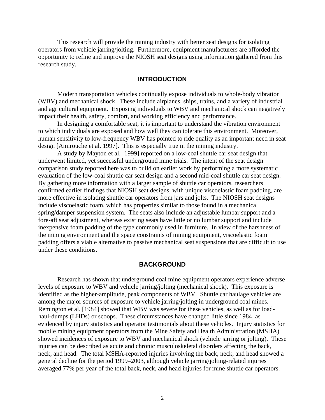<span id="page-8-0"></span>This research will provide the mining industry with better seat designs for isolating operators from vehicle jarring/jolting. Furthermore, equipment manufacturers are afforded the opportunity to refine and improve the NIOSH seat designs using information gathered from this research study.

#### **INTRODUCTION**

Modern transportation vehicles continually expose individuals to whole-body vibration (WBV) and mechanical shock. These include airplanes, ships, trains, and a variety of industrial and agricultural equipment. Exposing individuals to WBV and mechanical shock can negatively impact their health, safety, comfort, and working efficiency and performance.

In designing a comfortable seat, it is important to understand the vibration environment to which individuals are exposed and how well they can tolerate this environment. Moreover, human sensitivity to low-frequency WBV has pointed to ride quality as an important need in seat design [Amirouche et al. 1997]. This is especially true in the mining industry.

A study by Mayton et al. [1999] reported on a low-coal shuttle car seat design that underwent limited, yet successful underground mine trials. The intent of the seat design comparison study reported here was to build on earlier work by performing a more systematic evaluation of the low-coal shuttle car seat design and a second mid-coal shuttle car seat design. By gathering more information with a larger sample of shuttle car operators, researchers confirmed earlier findings that NIOSH seat designs, with unique viscoelastic foam padding, are more effective in isolating shuttle car operators from jars and jolts. The NIOSH seat designs include viscoelastic foam, which has properties similar to those found in a mechanical spring/damper suspension system. The seats also include an adjustable lumbar support and a fore-aft seat adjustment, whereas existing seats have little or no lumbar support and include inexpensive foam padding of the type commonly used in furniture. In view of the harshness of the mining environment and the space constraints of mining equipment, viscoelastic foam padding offers a viable alternative to passive mechanical seat suspensions that are difficult to use under these conditions.

#### **BACKGROUND**

Research has shown that underground coal mine equipment operators experience adverse levels of exposure to WBV and vehicle jarring/jolting (mechanical shock). This exposure is identified as the higher-amplitude, peak components of WBV. Shuttle car haulage vehicles are among the major sources of exposure to vehicle jarring/jolting in underground coal mines. Remington et al. [1984] showed that WBV was severe for these vehicles, as well as for loadhaul-dumps (LHDs) or scoops. These circumstances have changed little since 1984, as evidenced by injury statistics and operator testimonials about these vehicles. Injury statistics for mobile mining equipment operators from the Mine Safety and Health Administration (MSHA) showed incidences of exposure to WBV and mechanical shock (vehicle jarring or jolting). These injuries can be described as acute and chronic musculoskeletal disorders affecting the back, neck, and head. The total MSHA-reported injuries involving the back, neck, and head showed a general decline for the period 1999–2003, although vehicle jarring/jolting-related injuries averaged 77% per year of the total back, neck, and head injuries for mine shuttle car operators.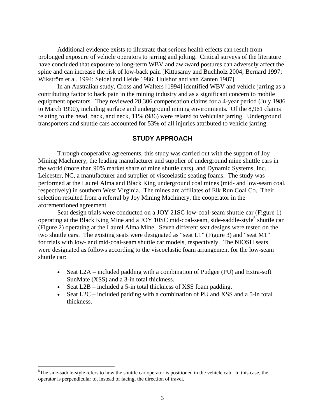<span id="page-9-0"></span>Additional evidence exists to illustrate that serious health effects can result from prolonged exposure of vehicle operators to jarring and jolting. Critical surveys of the literature have concluded that exposure to long-term WBV and awkward postures can adversely affect the spine and can increase the risk of low-back pain [Kittusamy and Buchholz 2004; Bernard 1997; Wikström et al. 1994; Seidel and Heide 1986; Hulshof and van Zanten 1987].

In an Australian study, Cross and Walters [1994] identified WBV and vehicle jarring as a contributing factor to back pain in the mining industry and as a significant concern to mobile equipment operators. They reviewed 28,306 compensation claims for a 4-year period (July 1986 to March 1990), including surface and underground mining environments. Of the 8,961 claims relating to the head, back, and neck, 11% (986) were related to vehicular jarring. Underground transporters and shuttle cars accounted for 53% of all injuries attributed to vehicle jarring.

#### **STUDY APPROACH**

Through cooperative agreements, this study was carried out with the support of Joy Mining Machinery, the leading manufacturer and supplier of underground mine shuttle cars in the world (more than 90% market share of mine shuttle cars), and Dynamic Systems, Inc., Leicester, NC, a manufacturer and supplier of viscoelastic seating foams. The study was performed at the Laurel Alma and Black King underground coal mines (mid- and low-seam coal, respectively) in southern West Virginia. The mines are affiliates of Elk Run Coal Co. Their selection resulted from a referral by Joy Mining Machinery, the cooperator in the aforementioned agreement.

Seat design trials were conducted on a JOY 21SC low-coal-seam shuttle car (Figure 1) operating at the Black King Mine and a JOY 10SC mid-coal-seam, side-saddle-style<sup>5</sup> shuttle car (Figure 2) operating at the Laurel Alma Mine. Seven different seat designs were tested on the two shuttle cars. The existing seats were designated as "seat L1" (Figure 3) and "seat M1" for trials with low- and mid-coal-seam shuttle car models, respectively. The NIOSH seats were designated as follows according to the viscoelastic foam arrangement for the low-seam shuttle car:

- Seat L2A included padding with a combination of Pudgee (PU) and Extra-soft SunMate (XSS) and a 3-in total thickness.
- Seat L2B included a 5-in total thickness of XSS foam padding.
- Seat  $L2C$  included padding with a combination of PU and XSS and a 5-in total thickness.

 $\overline{a}$ 

<sup>&</sup>lt;sup>5</sup>The side-saddle-style refers to how the shuttle car operator is positioned in the vehicle cab. In this case, the operator is perpendicular to, instead of facing, the direction of travel.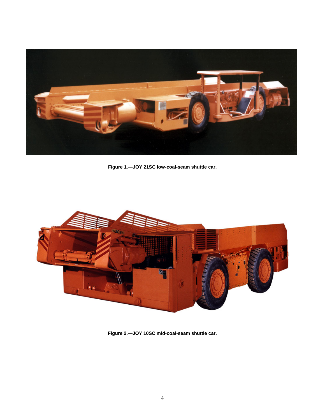<span id="page-10-0"></span>

**Figure 1.—JOY 21SC low-coal-seam shuttle car.** 



**Figure 2.—JOY 10SC mid-coal-seam shuttle car.**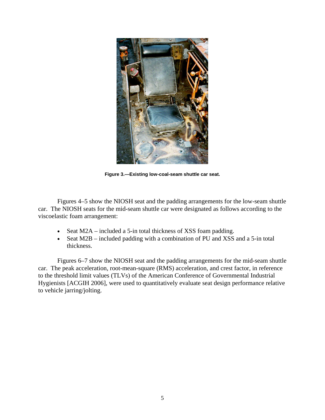<span id="page-11-0"></span>

**Figure 3.—Existing low-coal-seam shuttle car seat.** 

Figures 4–5 show the NIOSH seat and the padding arrangements for the low-seam shuttle car. The NIOSH seats for the mid-seam shuttle car were designated as follows according to the viscoelastic foam arrangement:

- Seat M2A included a 5-in total thickness of XSS foam padding.
- Seat M2B included padding with a combination of PU and XSS and a 5-in total thickness.

Figures 6–7 show the NIOSH seat and the padding arrangements for the mid-seam shuttle car. The peak acceleration, root-mean-square (RMS) acceleration, and crest factor, in reference to the threshold limit values (TLVs) of the American Conference of Governmental Industrial Hygienists [ACGIH 2006], were used to quantitatively evaluate seat design performance relative to vehicle jarring/jolting.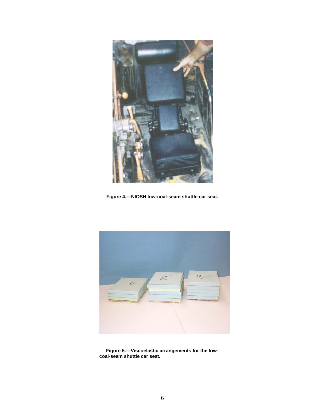<span id="page-12-0"></span>

**Figure 4.—NIOSH low-coal-seam shuttle car seat.** 



 **Figure 5.—Viscoelastic arrangements for the lowcoal-seam shuttle car seat.**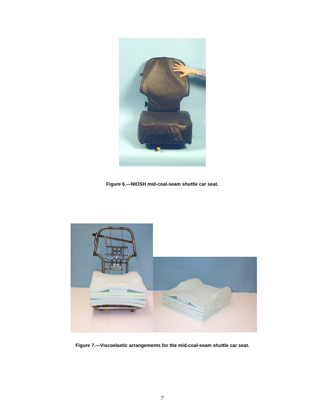<span id="page-13-0"></span>

**Figure 6.—NIOSH mid-coal-seam shuttle car seat.** 



**Figure 7.—Viscoelastic arrangements for the mid-coal-seam shuttle car seat.**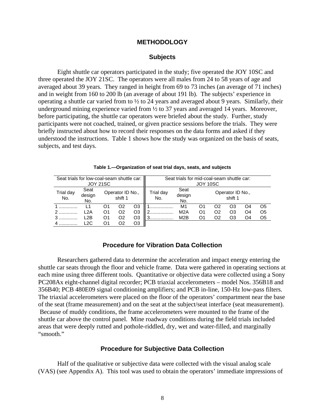#### **METHODOLOGY**

#### **Subjects**

Eight shuttle car operators participated in the study; five operated the JOY 10SC and three operated the JOY 21SC. The operators were all males from 24 to 58 years of age and averaged about 39 years. They ranged in height from 69 to 73 inches (an average of 71 inches) and in weight from 160 to 200 lb (an average of about 191 lb). The subjects' experience in operating a shuttle car varied from to ½ to 24 years and averaged about 9 years. Similarly, their underground mining experience varied from  $\frac{1}{2}$  to 37 years and averaged 14 years. Moreover, before participating, the shuttle car operators were briefed about the study. Further, study participants were not coached, trained, or given practice sessions before the trials. They were briefly instructed about how to record their responses on the data forms and asked if they understood the instructions. Table 1 shows how the study was organized on the basis of seats, subjects, and test days.

| Seat trials for low-coal-seam shuttle car:<br><b>JOY 21SC</b> |                       |    |                             |    | Seat trials for mid-coal-seam shuttle car: | JOY 10SC              |    |    |                             |    |    |
|---------------------------------------------------------------|-----------------------|----|-----------------------------|----|--------------------------------------------|-----------------------|----|----|-----------------------------|----|----|
| Trial day<br>No.                                              | Seat<br>design<br>No. |    | Operator ID No.,<br>shift 1 |    | Trial day<br>No.                           | Seat<br>design<br>No. |    |    | Operator ID No.,<br>shift 1 |    |    |
|                                                               |                       | O1 | ი2                          | O3 |                                            | M1                    | O1 | ი2 |                             | O4 | O5 |
|                                                               | -2A                   | O1 | O2                          | O3 |                                            | M <sub>2</sub> A      | O1 | O2 | O3                          | O4 | O5 |
|                                                               | -2B                   | O1 | O2                          | O3 |                                            | M2B                   | O1 | O2 | O3                          | O4 | O5 |
|                                                               | -20                   | Ο1 |                             | O3 |                                            |                       |    |    |                             |    |    |

| Table 1.—Organization of seat trial days, seats, and subjects |  |  |  |  |
|---------------------------------------------------------------|--|--|--|--|
|---------------------------------------------------------------|--|--|--|--|

#### **Procedure for Vibration Data Collection**

Researchers gathered data to determine the acceleration and impact energy entering the shuttle car seats through the floor and vehicle frame. Data were gathered in operating sections at each mine using three different tools. Quantitative or objective data were collected using a Sony PC208Ax eight-channel digital recorder; PCB triaxial accelerometers – model Nos. 356B18 and 356B40; PCB 480E09 signal conditioning amplifiers; and PCB in-line, 150-Hz low-pass filters. The triaxial accelerometers were placed on the floor of the operators' compartment near the base of the seat (frame measurement) and on the seat at the subject/seat interface (seat measurement). Because of muddy conditions, the frame accelerometers were mounted to the frame of the shuttle car above the control panel. Mine roadway conditions during the field trials included areas that were deeply rutted and pothole-riddled, dry, wet and water-filled, and marginally "smooth."

#### **Procedure for Subjective Data Collection**

Half of the qualitative or subjective data were collected with the visual analog scale (VAS) (see Appendix A). This tool was used to obtain the operators' immediate impressions of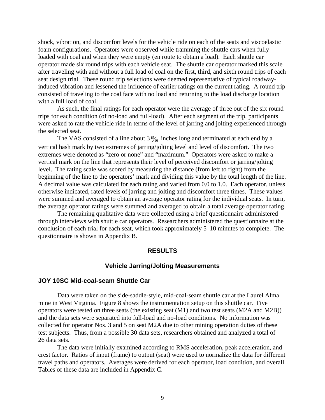<span id="page-15-0"></span>shock, vibration, and discomfort levels for the vehicle ride on each of the seats and viscoelastic foam configurations. Operators were observed while tramming the shuttle cars when fully loaded with coal and when they were empty (en route to obtain a load). Each shuttle car operator made six round trips with each vehicle seat. The shuttle car operator marked this scale after traveling with and without a full load of coal on the first, third, and sixth round trips of each seat design trial. These round trip selections were deemed representative of typical roadwayinduced vibration and lessened the influence of earlier ratings on the current rating. A round trip consisted of traveling to the coal face with no load and returning to the load discharge location with a full load of coal.

As such, the final ratings for each operator were the average of three out of the six round trips for each condition (of no-load and full-load). After each segment of the trip, participants were asked to rate the vehicle ride in terms of the level of jarring and jolting experienced through the selected seat.

The VAS consisted of a line about  $3\frac{15}{16}$  inches long and terminated at each end by a vertical hash mark by two extremes of jarring/jolting level and level of discomfort. The two extremes were denoted as "zero or none" and "maximum." Operators were asked to make a vertical mark on the line that represents their level of perceived discomfort or jarring/jolting level. The rating scale was scored by measuring the distance (from left to right) from the beginning of the line to the operators' mark and dividing this value by the total length of the line. A decimal value was calculated for each rating and varied from 0.0 to 1.0. Each operator, unless otherwise indicated, rated levels of jarring and jolting and discomfort three times. These values were summed and averaged to obtain an average operator rating for the individual seats. In turn, the average operator ratings were summed and averaged to obtain a total average operator rating.

The remaining qualitative data were collected using a brief questionnaire administered through interviews with shuttle car operators. Researchers administered the questionnaire at the conclusion of each trial for each seat, which took approximately 5–10 minutes to complete. The questionnaire is shown in Appendix B.

#### **RESULTS**

#### **Vehicle Jarring/Jolting Measurements**

#### **JOY 10SC Mid-coal-seam Shuttle Car**

Data were taken on the side-saddle-style, mid-coal-seam shuttle car at the Laurel Alma mine in West Virginia. Figure 8 shows the instrumentation setup on this shuttle car. Five operators were tested on three seats (the existing seat (M1) and two test seats (M2A and M2B)) and the data sets were separated into full-load and no-load conditions. No information was collected for operator Nos. 3 and 5 on seat M2A due to other mining operation duties of these test subjects. Thus, from a possible 30 data sets, researchers obtained and analyzed a total of 26 data sets.

The data were initially examined according to RMS acceleration, peak acceleration, and crest factor. Ratios of input (frame) to output (seat) were used to normalize the data for different travel paths and operators. Averages were derived for each operator, load condition, and overall. Tables of these data are included in Appendix C.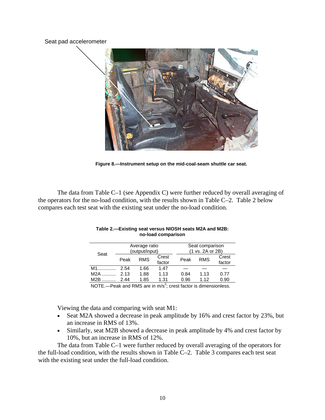#### Seat pad accelerometer



**Figure 8.—Instrument setup on the mid-coal-seam shuttle car seat.** 

The data from Table C–1 (see Appendix C) were further reduced by overall averaging of the operators for the no-load condition, with the results shown in Table C–2. Table 2 below compares each test seat with the existing seat under the no-load condition.

|       |      | Average ratio  |        |      | Seat comparison  |        |  |  |
|-------|------|----------------|--------|------|------------------|--------|--|--|
| Seat  |      | (output/input) |        |      | (1 vs. 2A or 2B) |        |  |  |
|       | Peak | <b>RMS</b>     | Crest  | Peak | <b>RMS</b>       | Crest  |  |  |
|       |      |                | factor |      |                  | factor |  |  |
| $M1$  | 2.54 | 1.66           | 1.47   |      |                  |        |  |  |
| $M2A$ | 2.13 | 1.88           | 1.13   | 0.84 | 1.13             | 0.77   |  |  |
| $M2B$ | 244  | 1.85           | 1.31   | 0.96 | 1.12             | 0.90   |  |  |
|       |      |                |        |      |                  |        |  |  |

| Table 2.—Existing seat versus NIOSH seats M2A and M2B: |
|--------------------------------------------------------|
| no-load comparison                                     |

NOTE.—Peak and RMS are in  $m/s^2$ ; crest factor is dimensionless.

Viewing the data and comparing with seat M1:

- Seat M2A showed a decrease in peak amplitude by 16% and crest factor by 23%, but an increase in RMS of 13%.
- Similarly, seat M2B showed a decrease in peak amplitude by 4% and crest factor by 10%, but an increase in RMS of 12%.

The data from Table C–1 were further reduced by overall averaging of the operators for the full-load condition, with the results shown in Table C–2. Table 3 compares each test seat with the existing seat under the full-load condition.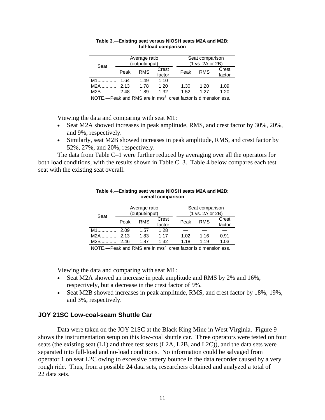|      |      | Average ratio<br>(output/input) |                 |      | Seat comparison<br>(1 vs. 2A or 2B) |                 |  |  |
|------|------|---------------------------------|-----------------|------|-------------------------------------|-----------------|--|--|
| Seat | Peak | <b>RMS</b>                      | Crest<br>factor | Peak | <b>RMS</b>                          | Crest<br>factor |  |  |
| M1   | 1.64 | 1.49                            | 1.10            |      |                                     |                 |  |  |
| M2A  | 2.13 | 1.78                            | 1.20            | 1.30 | 1.20                                | 1.09            |  |  |
| M2B  | 2.48 | 1.89                            | 1.32            | 1.52 | 1 27                                | 1.20            |  |  |
|      |      |                                 | $\sim$          |      |                                     |                 |  |  |

#### **Table 3.—Existing seat versus NIOSH seats M2A and M2B: full-load comparison**

NOTE.—Peak and RMS are in  $m/s^2$ ; crest factor is dimensionless.

Viewing the data and comparing with seat M1:

- Seat M2A showed increases in peak amplitude, RMS, and crest factor by 30%, 20%, and 9%, respectively.
- Similarly, seat M2B showed increases in peak amplitude, RMS, and crest factor by 52%, 27%, and 20%, respectively.

The data from Table C–1 were further reduced by averaging over all the operators for both load conditions, with the results shown in Table C–3. Table 4 below compares each test seat with the existing seat overall.

|       |      | Average ratio  |                 |      | Seat comparison  |                 |  |  |
|-------|------|----------------|-----------------|------|------------------|-----------------|--|--|
| Seat  |      | (output/input) |                 |      | (1 vs. 2A or 2B) |                 |  |  |
|       | Peak | <b>RMS</b>     | Crest<br>factor | Peak | <b>RMS</b>       | Crest<br>factor |  |  |
| $M1$  | 2.09 | 1.57           | 1.28            |      |                  |                 |  |  |
| M2A   | 2.13 | 1.83           | 1.17            | 1.02 | 1.16             | 0.91            |  |  |
| $M2B$ | 2.46 | 1.87           | 1.32            | 1.18 | 1.19             | 1.03            |  |  |

#### **Table 4.—Existing seat versus NIOSH seats M2A and M2B: overall comparison**

NOTE.—Peak and RMS are in  $m/s^2$ ; crest factor is dimensionless.

Viewing the data and comparing with seat M1:

- Seat M2A showed an increase in peak amplitude and RMS by 2% and 16%. respectively, but a decrease in the crest factor of 9%.
- Seat M2B showed increases in peak amplitude, RMS, and crest factor by 18%, 19%, and 3%, respectively.

#### **JOY 21SC Low-coal-seam Shuttle Car**

Data were taken on the JOY 21SC at the Black King Mine in West Virginia. Figure 9 shows the instrumentation setup on this low-coal shuttle car. Three operators were tested on four seats (the existing seat (L1) and three test seats (L2A, L2B, and L2C)), and the data sets were separated into full-load and no-load conditions. No information could be salvaged from operator 1 on seat L2C owing to excessive battery bounce in the data recorder caused by a very rough ride. Thus, from a possible 24 data sets, researchers obtained and analyzed a total of 22 data sets.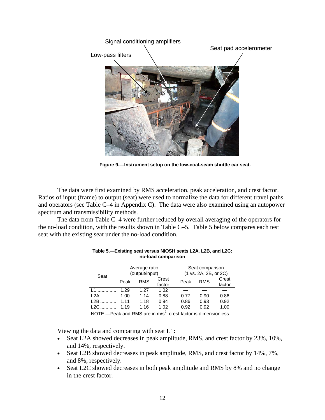

 **Figure 9.—Instrument setup on the low-coal-seam shuttle car seat.** 

The data were first examined by RMS acceleration, peak acceleration, and crest factor. Ratios of input (frame) to output (seat) were used to normalize the data for different travel paths and operators (see Table C–4 in Appendix C). The data were also examined using an autopower spectrum and transmissibility methods.

The data from Table C–4 were further reduced by overall averaging of the operators for the no-load condition, with the results shown in Table C–5. Table 5 below compares each test seat with the existing seat under the no-load condition.

|       |       | Average ratio<br>(output/input) |        |      | Seat comparison<br>(1 vs. 2A, 2B, or 2C) |        |  |  |
|-------|-------|---------------------------------|--------|------|------------------------------------------|--------|--|--|
| Seat  |       |                                 |        |      |                                          |        |  |  |
|       | Peak  | <b>RMS</b>                      | Crest  | Peak | <b>RMS</b>                               | Crest  |  |  |
|       |       |                                 | factor |      |                                          | factor |  |  |
| 11    | 1.29  | 1.27                            | 1.02   |      |                                          |        |  |  |
| $L2A$ | 1.00  | 1.14                            | 0.88   | 0.77 | 0.90                                     | 0.86   |  |  |
| $L2B$ | 1 1 1 | 1.18                            | 0.94   | 0.86 | 0.93                                     | 0.92   |  |  |
| $L2C$ | 1.19  | 1.16                            | 1.02   | 0.92 | 0.92                                     | 1.00   |  |  |
|       |       |                                 |        |      |                                          |        |  |  |

| Table 5.—Existing seat versus NIOSH seats L2A, L2B, and L2C: |
|--------------------------------------------------------------|
| no-load comparison                                           |

NOTE.—Peak and RMS are in  $m/s^2$ ; crest factor is dimensionless.

Viewing the data and comparing with seat L1:

- Seat L2A showed decreases in peak amplitude, RMS, and crest factor by 23%, 10%, and 14%, respectively.
- Seat L2B showed decreases in peak amplitude, RMS, and crest factor by 14%, 7%, and 8%, respectively.
- Seat L2C showed decreases in both peak amplitude and RMS by 8% and no change in the crest factor.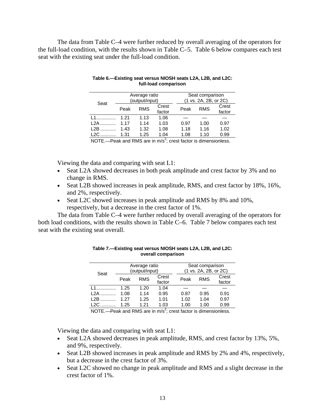The data from Table C–4 were further reduced by overall averaging of the operators for the full-load condition, with the results shown in Table C–5. Table 6 below compares each test seat with the existing seat under the full-load condition.

|       | Average ratio  |            |        | Seat comparison |                       |        |  |
|-------|----------------|------------|--------|-----------------|-----------------------|--------|--|
| Seat  | (output/input) |            |        |                 | (1 vs. 2A, 2B, or 2C) |        |  |
|       | Peak           | <b>RMS</b> | Crest  | Peak            | <b>RMS</b>            | Crest  |  |
|       |                |            | factor |                 |                       | factor |  |
| $11$  | 1 21           | 1.13       | 1.06   |                 |                       |        |  |
| 12A   | 1 17           | 1.14       | 1.03   | 0.97            | 1.00                  | 0.97   |  |
| $L2B$ | 1.43           | 1.32       | 1.08   | 1.18            | 1.16                  | 1.02   |  |
| $L2C$ | 1.31           | 1.25       | 1.04   | 1.08            | 1.10                  | 0.99   |  |

| Table 6.—Existing seat versus NIOSH seats L2A, L2B, and L2C: |
|--------------------------------------------------------------|
| full-load comparison                                         |

NOTE.—Peak and RMS are in  $m/s^2$ ; crest factor is dimensionless.

Viewing the data and comparing with seat L1:

- Seat L2A showed decreases in both peak amplitude and crest factor by 3% and no change in RMS.
- Seat L2B showed increases in peak amplitude, RMS, and crest factor by 18%, 16%, and 2%, respectively.
- Seat L2C showed increases in peak amplitude and RMS by 8% and 10%, respectively, but a decrease in the crest factor of 1%.

The data from Table C–4 were further reduced by overall averaging of the operators for both load conditions, with the results shown in Table C–6. Table 7 below compares each test seat with the existing seat overall.

| Seat  | Average ratio<br>(output/input) |            |                 |      | Seat comparison<br>(1 vs. 2A, 2B, or 2C) |                 |  |  |
|-------|---------------------------------|------------|-----------------|------|------------------------------------------|-----------------|--|--|
|       | Peak                            | <b>RMS</b> | Crest<br>factor | Peak | <b>RMS</b>                               | Crest<br>factor |  |  |
| 1.1   | 1.25                            | 1.20       | 1.04            |      |                                          |                 |  |  |
| L2A   | 1.08                            | 1.14       | 0.95            | 0.87 | 0.95                                     | 0.91            |  |  |
| $L2B$ | 1.27                            | 1.25       | 1.01            | 1.02 | 1.04                                     | 0.97            |  |  |
| $L2C$ | 1.25                            | 1.21       | 1.03<br>$\sim$  | 1.00 | 1.00                                     | 0.99            |  |  |

**Table 7.—Existing seat versus NIOSH seats L2A, L2B, and L2C: overall comparison** 

NOTE.—Peak and RMS are in  $m/s^2$ ; crest factor is dimensionless.

Viewing the data and comparing with seat L1:

- Seat L2A showed decreases in peak amplitude, RMS, and crest factor by 13%, 5%, and 9%, respectively.
- Seat L2B showed increases in peak amplitude and RMS by 2% and 4%, respectively, but a decrease in the crest factor of 3%.
- Seat L2C showed no change in peak amplitude and RMS and a slight decrease in the crest factor of 1%.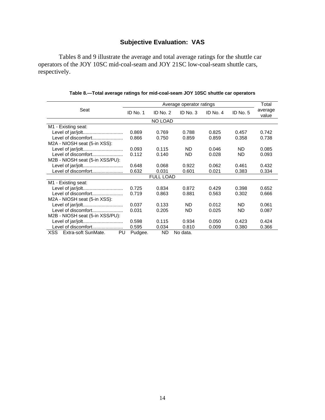## **Subjective Evaluation: VAS**

Tables 8 and 9 illustrate the average and total average ratings for the shuttle car operators of the JOY 10SC mid-coal-seam and JOY 21SC low-coal-seam shuttle cars, respectively.

|                                   |          | Total            |           |          |           |                  |
|-----------------------------------|----------|------------------|-----------|----------|-----------|------------------|
| Seat                              | ID No. 1 | ID No. 2         | ID No. 3  | ID No. 4 | ID No. 5  | average<br>value |
|                                   |          | NO LOAD          |           |          |           |                  |
| M1 - Existing seat:               |          |                  |           |          |           |                  |
|                                   | 0.869    | 0.769            | 0.788     | 0.825    | 0.457     | 0.742            |
| Level of discomfort               | 0.866    | 0.750            | 0.859     | 0.859    | 0.358     | 0.738            |
| M2A - NIOSH seat (5-in XSS):      |          |                  |           |          |           |                  |
|                                   | 0.093    | 0.115            | ND.       | 0.046    | ND.       | 0.085            |
| Level of discomfort               | 0.112    | 0.140            | <b>ND</b> | 0.028    | <b>ND</b> | 0.093            |
| M2B - NIOSH seat (5-in XSS/PU):   |          |                  |           |          |           |                  |
| Level of jar/jolt                 | 0.648    | 0.068            | 0.922     | 0.062    | 0.461     | 0.432            |
| Level of discomfort               | 0.632    | 0.031            | 0.601     | 0.021    | 0.383     | 0.334            |
|                                   |          | <b>FULL LOAD</b> |           |          |           |                  |
| M1 - Existing seat:               |          |                  |           |          |           |                  |
| Level of jar/jolt                 | 0.725    | 0.834            | 0.872     | 0.429    | 0.398     | 0.652            |
| Level of discomfort               | 0.719    | 0.863            | 0.881     | 0.563    | 0.302     | 0.666            |
| M2A - NIOSH seat (5-in XSS):      |          |                  |           |          |           |                  |
|                                   | 0.037    | 0.133            | ND.       | 0.012    | ND.       | 0.061            |
| Level of discomfort               | 0.031    | 0.205            | ND.       | 0.025    | ND.       | 0.087            |
| M2B - NIOSH seat (5-in XSS/PU):   |          |                  |           |          |           |                  |
| Level of jar/jolt                 | 0.598    | 0.115            | 0.934     | 0.050    | 0.423     | 0.424            |
| Level of discomfort               | 0.595    | 0.034            | 0.810     | 0.009    | 0.380     | 0.366            |
| XSS.<br>Extra-soft SunMate.<br>PU | Pudgee.  | ND               | No data.  |          |           |                  |

#### **Table 8.—Total average ratings for mid-coal-seam JOY 10SC shuttle car operators**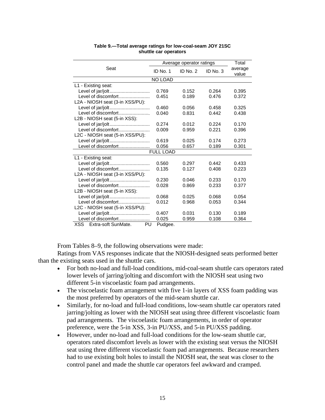|                                  |                  | Average operator ratings |          | Total            |
|----------------------------------|------------------|--------------------------|----------|------------------|
| Seat                             | ID No. 1         | ID No. $2$               | ID No. 3 | average<br>value |
|                                  | NO LOAD          |                          |          |                  |
| L1 - Existing seat:              |                  |                          |          |                  |
| Level of jar/jolt                | 0.769            | 0.152                    | 0.264    | 0.395            |
| Level of discomfort              | 0.451            | 0.189                    | 0.476    | 0.372            |
| L2A - NIOSH seat (3-in XSS/PU):  |                  |                          |          |                  |
| Level of jar/jolt                | 0.460            | 0.056                    | 0.458    | 0.325            |
| Level of discomfort              | 0.040            | 0.831                    | 0.442    | 0.438            |
| L2B - NIOSH seat (5-in XSS):     |                  |                          |          |                  |
| Level of jar/jolt                | 0.274            | 0.012                    | 0.224    | 0.170            |
| Level of discomfort              | 0.009            | 0.959                    | 0.221    | 0.396            |
| L2C - NIOSH seat (5-in XSS/PU):  |                  |                          |          |                  |
| Level of jar/jolt                | 0.619            | 0.025                    | 0.174    | 0.273            |
| Level of discomfort              | 0.056            | 0.657                    | 0.189    | 0.301            |
|                                  | <b>FULL LOAD</b> |                          |          |                  |
| L1 - Existing seat:              |                  |                          |          |                  |
| Level of jar/jolt                | 0.560            | 0.297                    | 0.442    | 0.433            |
| Level of discomfort              | 0.135            | 0.127                    | 0.408    | 0.223            |
| L2A - NIOSH seat (3-in XSS/PU):  |                  |                          |          |                  |
| Level of jar/jolt                | 0.230            | 0.046                    | 0.233    | 0.170            |
| Level of discomfort              | 0.028            | 0.869                    | 0.233    | 0.377            |
| L2B - NIOSH seat (5-in XSS):     |                  |                          |          |                  |
| Level of jar/jolt                | 0.068            | 0.025                    | 0.068    | 0.054            |
| Level of discomfort              | 0.012            | 0.968                    | 0.053    | 0.344            |
| L2C - NIOSH seat (5-in XSS/PU):  |                  |                          |          |                  |
|                                  | 0.407            | 0.031                    | 0.130    | 0.189            |
| Level of discomfort              | 0.025            | 0.959                    | 0.108    | 0.364            |
| Extra-soft SunMate.<br>XSS<br>PU | Pudgee.          |                          |          |                  |

#### **Table 9.—Total average ratings for low-coal-seam JOY 21SC shuttle car operators**

From Tables 8–9, the following observations were made:

Ratings from VAS responses indicate that the NIOSH-designed seats performed better than the existing seats used in the shuttle cars.

- For both no-load and full-load conditions, mid-coal-seam shuttle cars operators rated lower levels of jarring/jolting and discomfort with the NIOSH seat using two different 5-in viscoelastic foam pad arrangements.
- The viscoelastic foam arrangement with five 1-in layers of XSS foam padding was the most preferred by operators of the mid-seam shuttle car.
- Similarly, for no-load and full-load conditions, low-seam shuttle car operators rated jarring/jolting as lower with the NIOSH seat using three different viscoelastic foam pad arrangements. The viscoelastic foam arrangements, in order of operator preference, were the 5-in XSS, 3-in PU/XSS, and 5-in PU/XSS padding.
- • However, under no-load and full-load conditions for the low-seam shuttle car, operators rated discomfort levels as lower with the existing seat versus the NIOSH seat using three different viscoelastic foam pad arrangements. Because researchers had to use existing bolt holes to install the NIOSH seat, the seat was closer to the control panel and made the shuttle car operators feel awkward and cramped.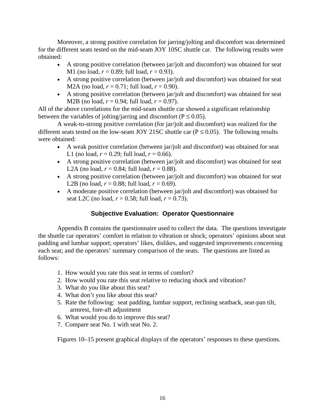<span id="page-22-0"></span>Moreover, a strong positive correlation for jarring/jolting and discomfort was determined for the different seats tested on the mid-seam JOY 10SC shuttle car. The following results were obtained:

- A strong positive correlation (between jar/jolt and discomfort) was obtained for seat M1 (no load,  $r = 0.89$ ; full load,  $r = 0.93$ ).
- A strong positive correlation (between jar/jolt and discomfort) was obtained for seat M2A (no load,  $r = 0.71$ ; full load,  $r = 0.90$ ).
- A strong positive correlation (between jar/jolt and discomfort) was obtained for seat M2B (no load,  $r = 0.94$ ; full load,  $r = 0.97$ ).

All of the above correlations for the mid-seam shuttle car showed a significant relationship between the variables of jolting/jarring and discomfort ( $P \le 0.05$ ).

A weak-to-strong positive correlation (for jar/jolt and discomfort) was realized for the different seats tested on the low-seam JOY 21SC shuttle car ( $P \le 0.05$ ). The following results were obtained:

- A weak positive correlation (between jar/jolt and discomfort) was obtained for seat L1 (no load,  $r = 0.29$ ; full load,  $r = 0.66$ ).
- A strong positive correlation (between jar/jolt and discomfort) was obtained for seat L2A (no load,  $r = 0.84$ ; full load,  $r = 0.88$ ).
- A strong positive correlation (between jar/jolt and discomfort) was obtained for seat L2B (no load,  $r = 0.88$ ; full load,  $r = 0.69$ ).
- A moderate positive correlation (between jar/jolt and discomfort) was obtained for seat L2C (no load,  $r = 0.58$ ; full load,  $r = 0.73$ ).

## **Subjective Evaluation: Operator Questionnaire**

Appendix B contains the questionnaire used to collect the data. The questions investigate the shuttle car operators' comfort in relation to vibration or shock; operators' opinions about seat padding and lumbar support; operators' likes, dislikes, and suggested improvements concerning each seat; and the operators' summary comparison of the seats. The questions are listed as follows:

- 1. How would you rate this seat in terms of comfort?
- 2. How would you rate this seat relative to reducing shock and vibration?
- 3. What do you like about this seat?
- 4. What don't you like about this seat?
- 5. Rate the following: seat padding, lumbar support, reclining seatback, seat-pan tilt, armrest, fore-aft adjustment
- 6. What would you do to improve this seat?
- 7. Compare seat No. 1 with seat No. 2.

Figures 10–15 present graphical displays of the operators' responses to these questions.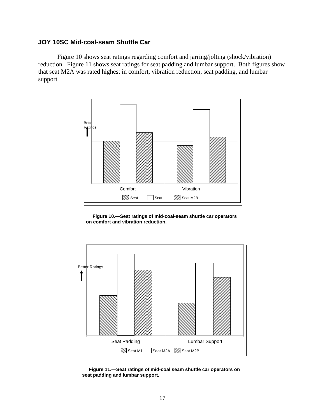### <span id="page-23-0"></span>**JOY 10SC Mid-coal-seam Shuttle Car**

Figure 10 shows seat ratings regarding comfort and jarring/jolting (shock/vibration) reduction. Figure 11 shows seat ratings for seat padding and lumbar support. Both figures show that seat M2A was rated highest in comfort, vibration reduction, seat padding, and lumbar support.



 **Figure 10.—Seat ratings of mid-coal-seam shuttle car operators on comfort and vibration reduction.**



 **Figure 11.—Seat ratings of mid-coal seam shuttle car operators on seat padding and lumbar support.**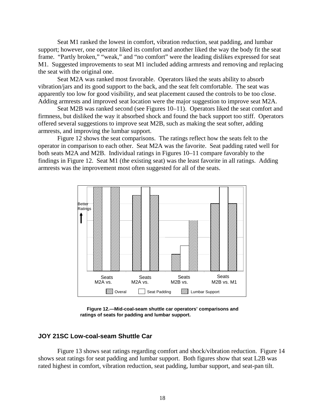<span id="page-24-0"></span>Seat M1 ranked the lowest in comfort, vibration reduction, seat padding, and lumbar support; however, one operator liked its comfort and another liked the way the body fit the seat frame. "Partly broken," "weak," and "no comfort" were the leading dislikes expressed for seat M1. Suggested improvements to seat M1 included adding armrests and removing and replacing the seat with the original one.

Seat M2A was ranked most favorable. Operators liked the seats ability to absorb vibration/jars and its good support to the back, and the seat felt comfortable. The seat was apparently too low for good visibility, and seat placement caused the controls to be too close. Adding armrests and improved seat location were the major suggestion to improve seat M2A.

Seat M2B was ranked second (see Figures 10–11). Operators liked the seat comfort and firmness, but disliked the way it absorbed shock and found the back support too stiff. Operators offered several suggestions to improve seat M2B, such as making the seat softer, adding armrests, and improving the lumbar support.

Figure 12 shows the seat comparisons. The ratings reflect how the seats felt to the operator in comparison to each other. Seat M2A was the favorite. Seat padding rated well for both seats M2A and M2B. Individual ratings in Figures 10–11 compare favorably to the findings in Figure 12. Seat M1 (the existing seat) was the least favorite in all ratings. Adding armrests was the improvement most often suggested for all of the seats.



 **Figure 12.—Mid-coal-seam shuttle car operators' comparisons and ratings of seats for padding and lumbar support.** 

#### **JOY 21SC Low-coal-seam Shuttle Car**

Figure 13 shows seat ratings regarding comfort and shock/vibration reduction. Figure 14 shows seat ratings for seat padding and lumbar support. Both figures show that seat L2B was rated highest in comfort, vibration reduction, seat padding, lumbar support, and seat-pan tilt.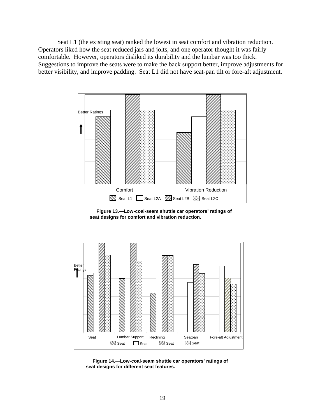<span id="page-25-0"></span>Seat L1 (the existing seat) ranked the lowest in seat comfort and vibration reduction. Operators liked how the seat reduced jars and jolts, and one operator thought it was fairly comfortable. However, operators disliked its durability and the lumbar was too thick. Suggestions to improve the seats were to make the back support better, improve adjustments for better visibility, and improve padding. Seat L1 did not have seat-pan tilt or fore-aft adjustment.



 **Figure 13.—Low-coal-seam shuttle car operators' ratings of seat designs for comfort and vibration reduction.**



 **Figure 14.—Low-coal-seam shuttle car operators' ratings of seat designs for different seat features.**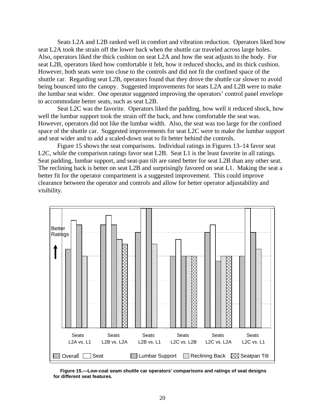<span id="page-26-0"></span>Seats L2A and L2B ranked well in comfort and vibration reduction. Operators liked how seat L2A took the strain off the lower back when the shuttle car traveled across large holes. Also, operators liked the thick cushion on seat L2A and how the seat adjusts to the body. For seat L2B, operators liked how comfortable it felt, how it reduced shocks, and its thick cushion. However, both seats were too close to the controls and did not fit the confined space of the shuttle car. Regarding seat L2B, operators found that they drove the shuttle car slower to avoid being bounced into the canopy. Suggested improvements for seats L2A and L2B were to make the lumbar seat wider. One operator suggested improving the operators' control panel envelope to accommodate better seats, such as seat L2B.

Seat L2C was the favorite. Operators liked the padding, how well it reduced shock, how well the lumbar support took the strain off the back, and how comfortable the seat was. However, operators did not like the lumbar width. Also, the seat was too large for the confined space of the shuttle car. Suggested improvements for seat L2C were to make the lumbar support and seat wider and to add a scaled-down seat to fit better behind the controls.

Figure 15 shows the seat comparisons. Individual ratings in Figures 13–14 favor seat L2C, while the comparison ratings favor seat L2B. Seat L1 is the least favorite in all ratings. Seat padding, lumbar support, and seat-pan tilt are rated better for seat L2B than any other seat. The reclining back is better on seat L2B and surprisingly favored on seat L1. Making the seat a better fit for the operator compartment is a suggested improvement. This could improve clearance between the operator and controls and allow for better operator adjustability and visibility.



 **Figure 15.—Low-coal seam shuttle car operators' comparisons and ratings of seat designs for different seat features.**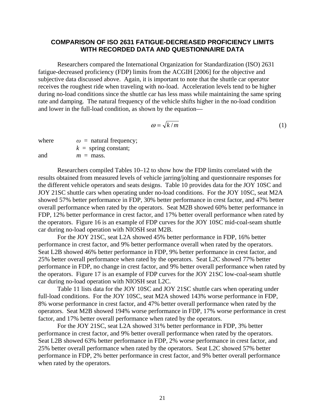#### <span id="page-27-0"></span>**COMPARISON OF ISO 2631 FATIGUE-DECREASED PROFICIENCY LIMITS WITH RECORDED DATA AND QUESTIONNAIRE DATA**

Researchers compared the International Organization for Standardization (ISO) 2631 fatigue-decreased proficiency (FDP) limits from the ACGIH [2006] for the objective and subjective data discussed above. Again, it is important to note that the shuttle car operator receives the roughest ride when traveling with no-load. Acceleration levels tend to be higher during no-load conditions since the shuttle car has less mass while maintaining the same spring rate and damping. The natural frequency of the vehicle shifts higher in the no-load condition and lower in the full-load condition, as shown by the equation—

$$
\omega = \sqrt{k/m} \tag{1}
$$

where  $\omega$  = natural frequency;  $k =$ spring constant; and  $m = \text{mass}$ .

Researchers compiled Tables 10–12 to show how the FDP limits correlated with the results obtained from measured levels of vehicle jarring/jolting and questionnaire responses for the different vehicle operators and seats designs. Table 10 provides data for the JOY 10SC and JOY 21SC shuttle cars when operating under no-load conditions. For the JOY 10SC, seat M2A showed 57% better performance in FDP, 30% better performance in crest factor, and 47% better overall performance when rated by the operators. Seat M2B showed 60% better performance in FDP, 12% better performance in crest factor, and 17% better overall performance when rated by the operators. Figure 16 is an example of FDP curves for the JOY 10SC mid-coal-seam shuttle car during no-load operation with NIOSH seat M2B.

For the JOY 21SC, seat L2A showed 45% better performance in FDP, 16% better performance in crest factor, and 9% better performance overall when rated by the operators. Seat L2B showed 46% better performance in FDP, 9% better performance in crest factor, and 25% better overall performance when rated by the operators. Seat L2C showed 77% better performance in FDP, no change in crest factor, and 9% better overall performance when rated by the operators. Figure 17 is an example of FDP curves for the JOY 21SC low-coal-seam shuttle car during no-load operation with NIOSH seat L2C.

Table 11 lists data for the JOY 10SC and JOY 21SC shuttle cars when operating under full-load conditions. For the JOY 10SC, seat M2A showed 143% worse performance in FDP, 8% worse performance in crest factor, and 47% better overall performance when rated by the operators. Seat M2B showed 194% worse performance in FDP, 17% worse performance in crest factor, and 17% better overall performance when rated by the operators.

For the JOY 21SC, seat L2A showed 31% better performance in FDP, 3% better performance in crest factor, and 9% better overall performance when rated by the operators. Seat L2B showed 63% better performance in FDP, 2% worse performance in crest factor, and 25% better overall performance when rated by the operators. Seat L2C showed 57% better performance in FDP, 2% better performance in crest factor, and 9% better overall performance when rated by the operators.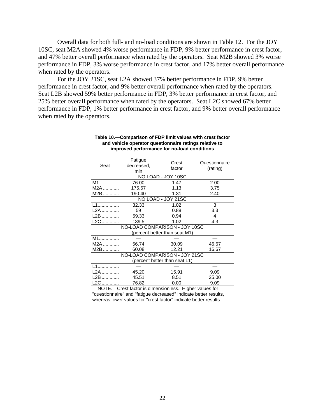<span id="page-28-0"></span>Overall data for both full- and no-load conditions are shown in Table 12. For the JOY 10SC, seat M2A showed 4% worse performance in FDP, 9% better performance in crest factor, and 47% better overall performance when rated by the operators. Seat M2B showed 3% worse performance in FDP, 3% worse performance in crest factor, and 17% better overall performance when rated by the operators.

For the JOY 21SC, seat L2A showed 37% better performance in FDP, 9% better performance in crest factor, and 9% better overall performance when rated by the operators. Seat L2B showed 59% better performance in FDP, 3% better performance in crest factor, and 25% better overall performance when rated by the operators. Seat L2C showed 67% better performance in FDP, 1% better performance in crest factor, and 9% better overall performance when rated by the operators.

| Seat                          | Fatigue<br>decreased,<br>min  | Crest<br>factor               | Questionnaire<br>(rating) |  |  |  |
|-------------------------------|-------------------------------|-------------------------------|---------------------------|--|--|--|
|                               |                               | NO LOAD - JOY 10SC            |                           |  |  |  |
| M1                            | 76.00                         | 1.47                          | 2.00                      |  |  |  |
| $M2A$                         | 175.67                        | 1.13                          | 3.75                      |  |  |  |
| $M2B$                         | 190.40                        | 1.31                          | 2.40                      |  |  |  |
|                               |                               | NO LOAD - JOY 21SC            |                           |  |  |  |
| L1                            | 32.33                         | 1.02                          | 3                         |  |  |  |
| L2A                           | 59                            | 0.88                          | 3.3                       |  |  |  |
| L2B                           | 59.33                         | 0.94                          | 4                         |  |  |  |
| L2C                           | 139.5                         | 1.02                          | 4.3                       |  |  |  |
| NO-LOAD COMPARISON - JOY 10SC |                               |                               |                           |  |  |  |
|                               |                               | (percent better than seat M1) |                           |  |  |  |
| $M1$                          |                               |                               |                           |  |  |  |
| $M2A$                         | 56.74                         | 30.09                         | 46.67                     |  |  |  |
| M2B                           | 60.08                         | 12.21                         | 16.67                     |  |  |  |
|                               | NO-LOAD COMPARISON - JOY 21SC |                               |                           |  |  |  |
|                               |                               | (percent better than seat L1) |                           |  |  |  |
| L1                            |                               |                               |                           |  |  |  |
| L2A                           | 45.20                         | 15.91                         | 9.09                      |  |  |  |
| L2B                           | 45.51                         | 8.51                          | 25.00                     |  |  |  |
| L2C                           | 76.82                         | 0.00                          | 9.09                      |  |  |  |

#### **Table 10.—Comparison of FDP limit values with crest factor and vehicle operator questionnaire ratings relative to improved performance for no-load conditions**

 NOTE.—Crest factor is dimensionless. Higher values for "questionnaire" and "fatigue decreased" indicate better results, whereas lower values for "crest factor" indicate better results.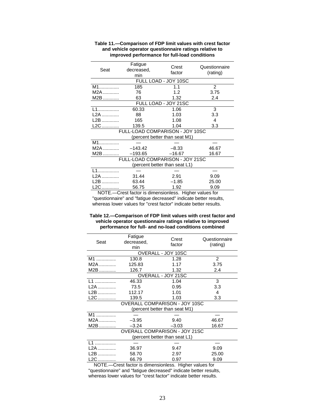| Seat  | Fatigue<br>decreased,<br>min | Crest<br>factor                 | Questionnaire<br>(rating) |
|-------|------------------------------|---------------------------------|---------------------------|
|       |                              | FULL LOAD - JOY 10SC            |                           |
| $M1$  | 185                          | 1.1                             | 2                         |
| M2A   | 76                           | 1.2                             | 3.75                      |
| M2B   | 63                           | 1.32                            | 2.4                       |
|       |                              | FULL LOAD - JOY 21SC            |                           |
| $11$  | 60.33                        | 1.06                            | 3                         |
| L2A   | 88                           | 1.03                            | 3.3                       |
| L2B   | 165                          | 1.08                            | 4                         |
| $L2C$ | 139.5                        | 1.04                            | 3.3                       |
|       |                              | FULL-LOAD COMPARISON - JOY 10SC |                           |
|       |                              | (percent better than seat M1)   |                           |
| $M1$  |                              |                                 |                           |
| M2A   | $-143.42$                    | $-8.33$                         | 46.67                     |
| M2B   | $-193.65$                    | $-16.67$                        | 16.67                     |
|       |                              | FULL-LOAD COMPARISON - JOY 21SC |                           |
|       |                              | (percent better than seat L1)   |                           |
| $11$  |                              |                                 |                           |
| L2A   | 31.44                        | 2.91                            | 9.09                      |
| L2B   | 63.44                        | $-1.85$                         | 25.00                     |
| L2C   | 56.75                        | 1.92                            | 9.09                      |

#### **Table 11.—Comparison of FDP limit values with crest factor and vehicle operator questionnaire ratings relative to improved performance for full-load conditions**

 NOTE.—Crest factor is dimensionless. Higher values for "questionnaire" and "fatigue decreased" indicate better results, whereas lower values for "crest factor" indicate better results.

#### **Table 12.—Comparison of FDP limit values with crest factor and vehicle operator questionnaire ratings relative to improved performance for full- and no-load conditions combined**

| Fatigue<br>decreased,<br>min  | Crest<br>factor | Questionnaire<br>(rating)                                                                                                    |  |  |  |  |  |
|-------------------------------|-----------------|------------------------------------------------------------------------------------------------------------------------------|--|--|--|--|--|
| OVERALL - JOY 10SC            |                 |                                                                                                                              |  |  |  |  |  |
| 130.8                         | 1.28            | 2                                                                                                                            |  |  |  |  |  |
| 125.83                        | 1.17            | 3.75                                                                                                                         |  |  |  |  |  |
| 126.7                         | 1.32            | 2.4                                                                                                                          |  |  |  |  |  |
|                               |                 |                                                                                                                              |  |  |  |  |  |
| 46.33                         | 1.04            | 3                                                                                                                            |  |  |  |  |  |
| 73.5                          | 0.95            | 3.3                                                                                                                          |  |  |  |  |  |
| 112.17                        | 1.01            | 4                                                                                                                            |  |  |  |  |  |
| 139.5                         | 1.03            | 3.3                                                                                                                          |  |  |  |  |  |
| OVERALL COMPARISON - JOY 10SC |                 |                                                                                                                              |  |  |  |  |  |
|                               |                 |                                                                                                                              |  |  |  |  |  |
|                               |                 |                                                                                                                              |  |  |  |  |  |
| $-3.95$                       | 9.40            | 46.67                                                                                                                        |  |  |  |  |  |
| $-3.24$                       | $-3.03$         | 16.67                                                                                                                        |  |  |  |  |  |
|                               |                 |                                                                                                                              |  |  |  |  |  |
|                               |                 |                                                                                                                              |  |  |  |  |  |
|                               |                 |                                                                                                                              |  |  |  |  |  |
| 36.97                         | 9.47            | 9.09                                                                                                                         |  |  |  |  |  |
| 58.70                         | 2.97            | 25.00                                                                                                                        |  |  |  |  |  |
| 66.79                         | 0.97            | 9.09                                                                                                                         |  |  |  |  |  |
|                               |                 | OVERALL - JOY 21SC<br>(percent better than seat M1)<br><b>OVERALL COMPARISON - JOY 21SC</b><br>(percent better than seat L1) |  |  |  |  |  |

 NOTE.—Crest factor is dimensionless. Higher values for "questionnaire" and "fatigue decreased" indicate better results, whereas lower values for "crest factor" indicate better results.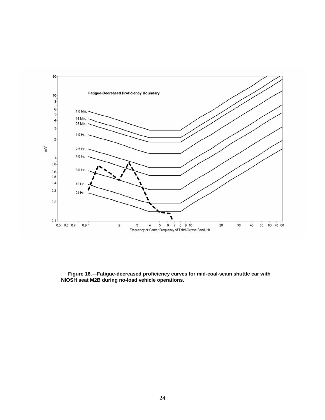<span id="page-30-0"></span>

 **Figure 16.—Fatigue-decreased proficiency curves for mid-coal-seam shuttle car with NIOSH seat M2B during no-load vehicle operations.**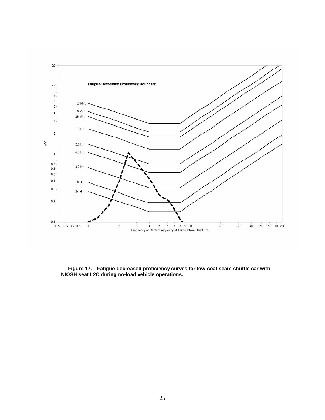<span id="page-31-0"></span>

 **Figure 17.—Fatigue-decreased proficiency curves for low-coal-seam shuttle car with NIOSH seat L2C during no-load vehicle operations.**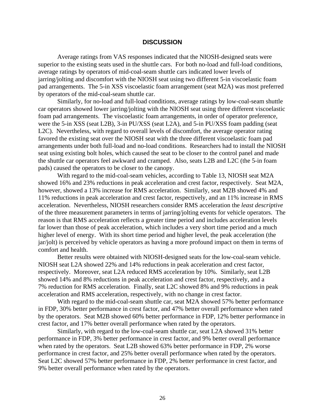#### **DISCUSSION**

<span id="page-32-0"></span>Average ratings from VAS responses indicated that the NIOSH-designed seats were superior to the existing seats used in the shuttle cars. For both no-load and full-load conditions, average ratings by operators of mid-coal-seam shuttle cars indicated lower levels of jarring/jolting and discomfort with the NIOSH seat using two different 5-in viscoelastic foam pad arrangements. The 5-in XSS viscoelastic foam arrangement (seat M2A) was most preferred by operators of the mid-coal-seam shuttle car.

Similarly, for no-load and full-load conditions, average ratings by low-coal-seam shuttle car operators showed lower jarring/jolting with the NIOSH seat using three different viscoelastic foam pad arrangements. The viscoelastic foam arrangements, in order of operator preference, were the 5-in XSS (seat L2B), 3-in PU/XSS (seat L2A), and 5-in PU/XSS foam padding (seat L2C). Nevertheless, with regard to overall levels of discomfort, the average operator rating favored the existing seat over the NIOSH seat with the three different viscoelastic foam pad arrangements under both full-load and no-load conditions. Researchers had to install the NIOSH seat using existing bolt holes, which caused the seat to be closer to the control panel and made the shuttle car operators feel awkward and cramped. Also, seats L2B and L2C (the 5-in foam pads) caused the operators to be closer to the canopy.

With regard to the mid-coal-seam vehicles, according to Table 13, NIOSH seat M2A showed 16% and 23% reductions in peak acceleration and crest factor, respectively. Seat M2A, however, showed a 13% increase for RMS acceleration. Similarly, seat M2B showed 4% and 11% reductions in peak acceleration and crest factor, respectively, and an 11% increase in RMS acceleration. Nevertheless, NIOSH researchers consider RMS acceleration the *least descriptive*  of the three measurement parameters in terms of jarring/jolting events for vehicle operators. The reason is that RMS acceleration reflects a greater time period and includes acceleration levels far lower than those of peak acceleration, which includes a very short time period and a much higher level of energy. With its short time period and higher level, the peak acceleration (the jar/jolt) is perceived by vehicle operators as having a more profound impact on them in terms of comfort and health.

Better results were obtained with NIOSH-designed seats for the low-coal-seam vehicle. NIOSH seat L2A showed 22% and 14% reductions in peak acceleration and crest factor, respectively. Moreover, seat L2A reduced RMS acceleration by 10%. Similarly, seat L2B showed 14% and 8% reductions in peak acceleration and crest factor, respectively, and a 7% reduction for RMS acceleration. Finally, seat L2C showed 8% and 9% reductions in peak acceleration and RMS acceleration, respectively, with no change in crest factor.

With regard to the mid-coal-seam shuttle car, seat M2A showed 57% better performance in FDP, 30% better performance in crest factor, and 47% better overall performance when rated by the operators. Seat M2B showed 60% better performance in FDP, 12% better performance in crest factor, and 17% better overall performance when rated by the operators.

Similarly, with regard to the low-coal-seam shuttle car, seat L2A showed 31% better performance in FDP, 3% better performance in crest factor, and 9% better overall performance when rated by the operators. Seat L2B showed 63% better performance in FDP, 2% worse performance in crest factor, and 25% better overall performance when rated by the operators. Seat L2C showed 57% better performance in FDP, 2% better performance in crest factor, and 9% better overall performance when rated by the operators.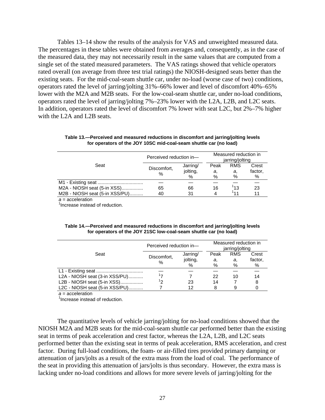<span id="page-33-0"></span>Tables 13–14 show the results of the analysis for VAS and unweighted measured data. The percentages in these tables were obtained from averages and, consequently, as in the case of the measured data, they may not necessarily result in the same values that are computed from a single set of the stated measured parameters. The VAS ratings showed that vehicle operators rated overall (on average from three test trial ratings) the NIOSH-designed seats better than the existing seats. For the mid-coal-seam shuttle car, under no-load (worse case of two) conditions, operators rated the level of jarring/jolting 31%–66% lower and level of discomfort 40%–65% lower with the M2A and M2B seats. For the low-coal-seam shuttle car, under no-load conditions, operators rated the level of jarring/jolting 7%–23% lower with the L2A, L2B, and L2C seats. In addition, operators rated the level of discomfort 7% lower with seat L2C, but 2%–7% higher with the L2A and L2B seats.

| Seat                           | Perceived reduction in- | Measured reduction in<br>jarring/jolting |      |            |         |
|--------------------------------|-------------------------|------------------------------------------|------|------------|---------|
|                                | Discomfort,<br>%        | Jarring/                                 | Peak | <b>RMS</b> | Crest   |
|                                |                         | jolting,                                 | а,   | а,         | factor, |
|                                |                         | %                                        | %    | %          | %       |
|                                |                         |                                          |      |            |         |
| M2A - NIOSH seat (5-in XSS)    | 65                      | 66                                       | 16   | 13         | 23      |
| M2B - NIOSH seat (5-in XSS/PU) | 40                      | 31                                       | 4    | 141        |         |

**Table 13.—Perceived and measured reductions in discomfort and jarring/jolting levels for operators of the JOY 10SC mid-coal-seam shuttle car (no load)** 

*a* = acceleration

<sup>1</sup> Increase instead of reduction.

| Table 14.—Perceived and measured reductions in discomfort and jarring/jolting levels |
|--------------------------------------------------------------------------------------|
| for operators of the JOY 21SC low-coal-seam shuttle car (no load)                    |

| Seat                           | Perceived reduction in- | Measured reduction in<br>jarring/jolting |      |            |         |
|--------------------------------|-------------------------|------------------------------------------|------|------------|---------|
|                                | Discomfort,             | Jarring/                                 | Peak | <b>RMS</b> | Crest   |
|                                | $\%$                    | jolting,                                 | а,   | а.         | factor, |
|                                |                         | $\%$                                     | %    | %          | %       |
|                                |                         |                                          |      |            |         |
| L2A - NIOSH seat (3-in XSS/PU) |                         |                                          | 22   | 10         | 14      |
| L2B - NIOSH seat (5-in XSS)    | הו                      | 23                                       | 14   |            |         |
| L2C - NIOSH seat (5-in XSS/PU) |                         | 12                                       | 8    |            |         |

*a* = acceleration

<sup>1</sup> Increase instead of reduction.

The quantitative levels of vehicle jarring/jolting for no-load conditions showed that the NIOSH M2A and M2B seats for the mid-coal-seam shuttle car performed better than the existing seat in terms of peak acceleration and crest factor, whereas the L2A, L2B, and L2C seats performed better than the existing seat in terms of peak acceleration, RMS acceleration, and crest factor. During full-load conditions, the foam- or air-filled tires provided primary damping or attenuation of jars/jolts as a result of the extra mass from the load of coal. The performance of the seat in providing this attenuation of jars/jolts is thus secondary. However, the extra mass is lacking under no-load conditions and allows for more severe levels of jarring/jolting for the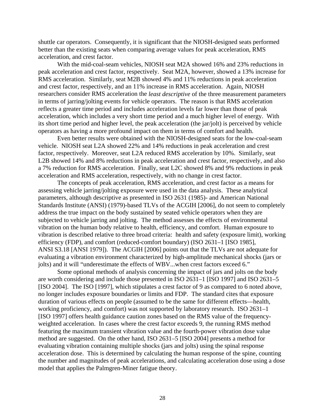shuttle car operators. Consequently, it is significant that the NIOSH-designed seats performed better than the existing seats when comparing average values for peak acceleration, RMS acceleration, and crest factor.

With the mid-coal-seam vehicles, NIOSH seat M2A showed 16% and 23% reductions in peak acceleration and crest factor, respectively. Seat M2A, however, showed a 13% increase for RMS acceleration. Similarly, seat M2B showed 4% and 11% reductions in peak acceleration and crest factor, respectively, and an 11% increase in RMS acceleration. Again, NIOSH researchers consider RMS acceleration the *least descriptive* of the three measurement parameters in terms of jarring/jolting events for vehicle operators. The reason is that RMS acceleration reflects a greater time period and includes acceleration levels far lower than those of peak acceleration, which includes a very short time period and a much higher level of energy. With its short time period and higher level, the peak acceleration (the jar/jolt) is perceived by vehicle operators as having a more profound impact on them in terms of comfort and health.

Even better results were obtained with the NIOSH-designed seats for the low-coal-seam vehicle. NIOSH seat L2A showed 22% and 14% reductions in peak acceleration and crest factor, respectively. Moreover, seat L2A reduced RMS acceleration by 10%. Similarly, seat L2B showed 14% and 8% reductions in peak acceleration and crest factor, respectively, and also a 7% reduction for RMS acceleration. Finally, seat L2C showed 8% and 9% reductions in peak acceleration and RMS acceleration, respectively, with no change in crest factor.

The concepts of peak acceleration, RMS acceleration, and crest factor as a means for assessing vehicle jarring/jolting exposure were used in the data analysis. These analytical parameters, although descriptive as presented in ISO 2631 (1985)- and American National Standards Institute (ANSI) (1979)-based TLVs of the ACGIH [2006], do not seem to completely address the true impact on the body sustained by seated vehicle operators when they are subjected to vehicle jarring and jolting. The method assesses the effects of environmental vibration on the human body relative to health, efficiency, and comfort. Human exposure to vibration is described relative to three broad criteria: health and safety (exposure limit), working efficiency (FDP), and comfort (reduced-comfort boundary) (ISO 2631–1 [ISO 1985], ANSI S3.18 [ANSI 1979]). The ACGIH [2006] points out that the TLVs are not adequate for evaluating a vibration environment characterized by high-amplitude mechanical shocks (jars or jolts) and it will "underestimate the effects of WBV...when crest factors exceed 6."

Some optional methods of analysis concerning the impact of jars and jolts on the body are worth considering and include those presented in ISO 2631–1 [ISO 1997] and ISO 2631–5 [ISO 2004]. The ISO [1997], which stipulates a crest factor of 9 as compared to 6 noted above, no longer includes exposure boundaries or limits and FDP. The standard cites that exposure duration of various effects on people (assumed to be the same for different effects—health, working proficiency, and comfort) was not supported by laboratory research. ISO 2631–1 [ISO 1997] offers health guidance caution zones based on the RMS value of the frequencyweighted acceleration. In cases where the crest factor exceeds 9, the running RMS method featuring the maximum transient vibration value and the fourth-power vibration dose value method are suggested. On the other hand, ISO 2631–5 [ISO 2004] presents a method for evaluating vibration containing multiple shocks (jars and jolts) using the spinal response acceleration dose. This is determined by calculating the human response of the spine, counting the number and magnitudes of peak accelerations, and calculating acceleration dose using a dose model that applies the Palmgren-Miner fatigue theory.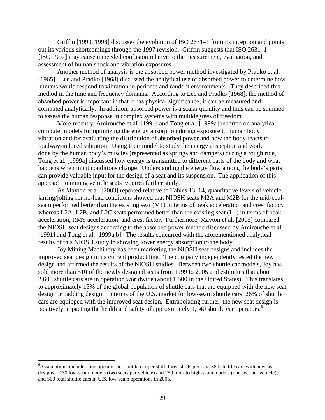Griffin [1990, 1998] discusses the evolution of ISO 2631–1 from its inception and points out its various shortcomings through the 1997 revision. Griffin suggests that ISO 2631–1 [ISO 1997] may cause unneeded confusion relative to the measurement, evaluation, and assessment of human shock and vibration exposures.

Another method of analysis is the absorbed power method investigated by Pradko et al. [1965]. Lee and Pradko [1968] discussed the analytical use of absorbed power to determine how humans would respond to vibration in periodic and random environments. They described this method in the time and frequency domains. According to Lee and Pradko [1968], the method of absorbed power is important in that it has physical significance; it can be measured and computed analytically. In addition, absorbed power is a scalar quantity and thus can be summed to assess the human response in complex systems with multidegrees of freedom.

More recently, Amirouche et al. [1991] and Tong et al. [1999a] reported on analytical computer models for optimizing the energy absorption during exposure to human body vibration and for evaluating the distribution of absorbed power and how the body reacts to roadway-induced vibration. Using their model to study the energy absorption and work done by the human body's muscles (represented as springs and dampers) during a rough ride, Tong et al. [1999a] discussed how energy is transmitted to different parts of the body and what happens when input conditions change. Understanding the energy flow among the body's parts can provide valuable input for the design of a seat and its suspension. The application of this approach to mining vehicle seats requires further study.

As Mayton et al. [2003] reported relative to Tables 13–14, quantitative levels of vehicle jarring/jolting for no-load conditions showed that NIOSH seats M2A and M2B for the mid-coalseam performed better than the existing seat (M1) in terms of peak acceleration and crest factor, whereas L2A, L2B, and L2C seats performed better than the existing seat (L1) in terms of peak acceleration, RMS acceleration, and crest factor. Furthermore, Mayton et al. [2005] compared the NIOSH seat designs according to the absorbed power method discussed by Amirouche et al. [1991] and Tong et al. [1999a,b]. The results concurred with the aforementioned analytical results of this NIOSH study in showing lower energy absorption to the body.

Joy Mining Machinery has been marketing the NIOSH seat designs and includes the improved seat design in its current product line. The company independently tested the new design and affirmed the results of the NIOSH studies. Between two shuttle car models, Joy has sold more than 510 of the newly designed seats from 1999 to 2005 and estimates that about 2,600 shuttle cars are in operation worldwide (about 1,500 in the United States). This translates to approximately 15% of the global population of shuttle cars that are equipped with the new seat design or padding design. In terms of the U.S. market for low-seam shuttle cars, 26% of shuttle cars are equipped with the improved seat design. Extrapolating further, the new seat design is positively impacting the health and safety of approximately 1,140 shuttle car operators.<sup>6</sup>

 $\overline{a}$ 

<sup>&</sup>lt;sup>6</sup>Assumptions include: one operator per shuttle car per shift, three shifts per day; 380 shuttle cars with new seat designs – 130 low-seam models (two seats per vehicle) and 250 mid- to high-seam models (one seat per vehicle); and 500 total shuttle cars in U.S. low-seam operations in 2005.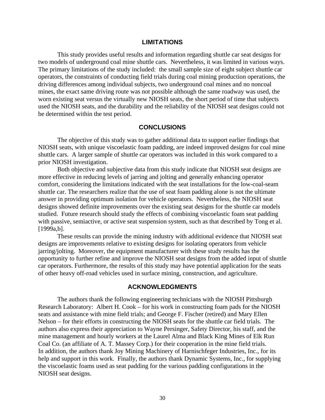#### **LIMITATIONS**

<span id="page-36-0"></span>This study provides useful results and information regarding shuttle car seat designs for two models of underground coal mine shuttle cars. Nevertheless, it was limited in various ways. The primary limitations of the study included: the small sample size of eight subject shuttle car operators, the constraints of conducting field trials during coal mining production operations, the driving differences among individual subjects, two underground coal mines and no noncoal mines, the exact same driving route was not possible although the same roadway was used, the worn existing seat versus the virtually new NIOSH seats, the short period of time that subjects used the NIOSH seats, and the durability and the reliability of the NIOSH seat designs could not be determined within the test period.

#### **CONCLUSIONS**

The objective of this study was to gather additional data to support earlier findings that NIOSH seats, with unique viscoelastic foam padding, are indeed improved designs for coal mine shuttle cars. A larger sample of shuttle car operators was included in this work compared to a prior NIOSH investigation.

Both objective and subjective data from this study indicate that NIOSH seat designs are more effective in reducing levels of jarring and jolting and generally enhancing operator comfort, considering the limitations indicated with the seat installations for the low-coal-seam shuttle car. The researchers realize that the use of seat foam padding alone is not the ultimate answer in providing optimum isolation for vehicle operators. Nevertheless, the NIOSH seat designs showed definite improvements over the existing seat designs for the shuttle car models studied. Future research should study the effects of combining viscoelastic foam seat padding with passive, semiactive, or active seat suspension system, such as that described by Tong et al. [1999a,b].

These results can provide the mining industry with additional evidence that NIOSH seat designs are improvements relative to existing designs for isolating operators from vehicle jarring/jolting. Moreover, the equipment manufacturer with these study results has the opportunity to further refine and improve the NIOSH seat designs from the added input of shuttle car operators. Furthermore, the results of this study may have potential application for the seats of other heavy off-road vehicles used in surface mining, construction, and agriculture.

#### **ACKNOWLEDGMENTS**

The authors thank the following engineering technicians with the NIOSH Pittsburgh Research Laboratory: Albert H. Cook – for his work in constructing foam pads for the NIOSH seats and assistance with mine field trials; and George F. Fischer (retired) and Mary Ellen Nelson – for their efforts in constructing the NIOSH seats for the shuttle car field trials. The authors also express their appreciation to Wayne Persinger, Safety Director, his staff, and the mine management and hourly workers at the Laurel Alma and Black King Mines of Elk Run Coal Co. (an affiliate of A. T. Massey Corp.) for their cooperation in the mine field trials. In addition, the authors thank Joy Mining Machinery of Harnischfeger Industries, Inc., for its help and support in this work. Finally, the authors thank Dynamic Systems, Inc., for supplying the viscoelastic foams used as seat padding for the various padding configurations in the NIOSH seat designs.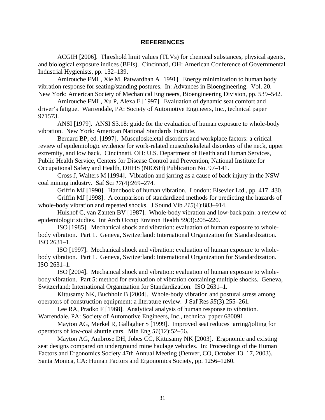#### **REFERENCES**

<span id="page-37-0"></span>ACGIH [2006]. Threshold limit values (TLVs) for chemical substances, physical agents, and biological exposure indices (BEIs). Cincinnati, OH: American Conference of Governmental Industrial Hygienists, pp. 132–139.

Amirouche FML, Xie M, Patwardhan A [1991]. Energy minimization to human body vibration response for seating/standing postures. In: Advances in Bioengineering. Vol. 20. New York: American Society of Mechanical Engineers, Bioengineering Division, pp. 539–542.

Amirouche FML, Xu P, Alexa E [1997]. Evaluation of dynamic seat comfort and driver's fatigue. Warrendale, PA: Society of Automotive Engineers, Inc., technical paper 971573.

ANSI [1979]. ANSI S3.18: guide for the evaluation of human exposure to whole-body vibration. New York: American National Standards Institute.

Bernard BP, ed. [1997]. Musculoskeletal disorders and workplace factors: a critical review of epidemiologic evidence for work-related musculoskeletal disorders of the neck, upper extremity, and low back. Cincinnati, OH: U.S. Department of Health and Human Services, Public Health Service, Centers for Disease Control and Prevention, National Institute for Occupational Safety and Health, DHHS (NIOSH) Publication No. 97–141.

Cross J, Walters M [1994]. Vibration and jarring as a cause of back injury in the NSW coal mining industry. Saf Sci *17*(4):269–274.

Griffin MJ [1990]. Handbook of human vibration. London: Elsevier Ltd., pp. 417–430. Griffin MJ [1998]. A comparison of standardized methods for predicting the hazards of

whole-body vibration and repeated shocks. J Sound Vib *215*(4):883–914.

Hulshof C, van Zanten BV [1987]. Whole-body vibration and low-back pain: a review of epidemiologic studies. Int Arch Occup Environ Health *59*(3):205–220.

ISO [1985]. Mechanical shock and vibration: evaluation of human exposure to wholebody vibration. Part 1. Geneva, Switzerland: International Organization for Standardization. ISO 2631–1.

ISO [1997]. Mechanical shock and vibration: evaluation of human exposure to wholebody vibration. Part 1. Geneva, Switzerland: International Organization for Standardization. ISO 2631–1.

ISO [2004]. Mechanical shock and vibration: evaluation of human exposure to wholebody vibration. Part 5: method for evaluation of vibration containing multiple shocks. Geneva, Switzerland: International Organization for Standardization. ISO 2631–1.

Kittusamy NK, Buchholz B [2004]. Whole-body vibration and postural stress among operators of construction equipment: a literature review. J Saf Res *35*(3):255–261.

Lee RA, Pradko F [1968]. Analytical analysis of human response to vibration. Warrendale, PA: Society of Automotive Engineers, Inc., technical paper 680091.

Mayton AG, Merkel R, Gallagher S [1999]. Improved seat reduces jarring/jolting for operators of low-coal shuttle cars. Min Eng *51*(12):52–56.

Mayton AG, Ambrose DH, Jobes CC, Kittusamy NK [2003]. Ergonomic and existing seat designs compared on underground mine haulage vehicles. In: Proceedings of the Human Factors and Ergonomics Society 47th Annual Meeting (Denver, CO, October 13–17, 2003). Santa Monica, CA: Human Factors and Ergonomics Society, pp. 1256–1260.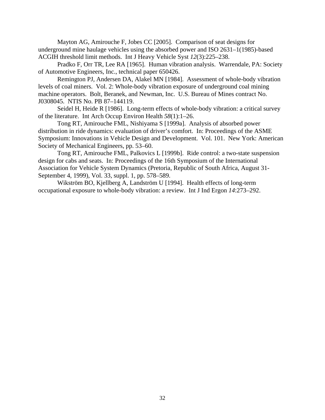Mayton AG, Amirouche F, Jobes CC [2005]. Comparison of seat designs for underground mine haulage vehicles using the absorbed power and ISO 2631–1(1985)-based ACGIH threshold limit methods. Int J Heavy Vehicle Syst *12*(3):225–238.

Pradko F, Orr TR, Lee RA [1965]. Human vibration analysis. Warrendale, PA: Society of Automotive Engineers, Inc., technical paper 650426.

Remington PJ, Andersen DA, Alakel MN [1984]. Assessment of whole-body vibration levels of coal miners. Vol. 2: Whole-body vibration exposure of underground coal mining machine operators. Bolt, Beranek, and Newman, Inc. U.S. Bureau of Mines contract No. J0308045. NTIS No. PB 87–144119.

Seidel H, Heide R [1986]. Long-term effects of whole-body vibration: a critical survey of the literature. Int Arch Occup Environ Health *58*(1):1–26.

Tong RT, Amirouche FML, Nishiyama S [1999a]. Analysis of absorbed power distribution in ride dynamics: evaluation of driver's comfort. In: Proceedings of the ASME Symposium: Innovations in Vehicle Design and Development. Vol. 101. New York: American Society of Mechanical Engineers, pp. 53–60.

Tong RT, Amirouche FML, Palkovics L [1999b]. Ride control: a two-state suspension design for cabs and seats. In: Proceedings of the 16th Symposium of the International Association for Vehicle System Dynamics (Pretoria, Republic of South Africa, August 31 September 4, 1999), Vol. 33, suppl. 1, pp. 578–589.

Wikström BO, Kjellberg A, Landström U [1994]. Health effects of long-term occupational exposure to whole-body vibration: a review. Int J Ind Ergon *14*:273–292.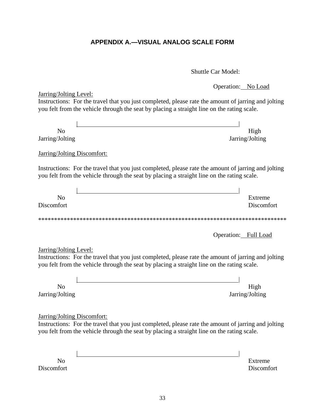# **APPENDIX A.—VISUAL ANALOG SCALE FORM**

Shuttle Car Model:

|                                                                                                                                                                                                                                         | Operation: No Load      |
|-----------------------------------------------------------------------------------------------------------------------------------------------------------------------------------------------------------------------------------------|-------------------------|
| Jarring/Jolting Level:<br>Instructions: For the travel that you just completed, please rate the amount of jarring and jolting<br>you felt from the vehicle through the seat by placing a straight line on the rating scale.             |                         |
|                                                                                                                                                                                                                                         |                         |
| N <sub>o</sub><br>Jarring/Jolting                                                                                                                                                                                                       | High<br>Jarring/Jolting |
| <b>Jarring/Jolting Discomfort:</b>                                                                                                                                                                                                      |                         |
| Instructions: For the travel that you just completed, please rate the amount of jarring and jolting<br>you felt from the vehicle through the seat by placing a straight line on the rating scale.                                       |                         |
|                                                                                                                                                                                                                                         |                         |
| N <sub>o</sub><br>Discomfort                                                                                                                                                                                                            | Extreme<br>Discomfort   |
|                                                                                                                                                                                                                                         |                         |
|                                                                                                                                                                                                                                         | Operation: Full Load    |
| Jarring/Jolting Level:<br>Instructions: For the travel that you just completed, please rate the amount of jarring and jolting<br>you felt from the vehicle through the seat by placing a straight line on the rating scale.             |                         |
|                                                                                                                                                                                                                                         |                         |
| N <sub>o</sub><br>Jarring/Jolting                                                                                                                                                                                                       | High<br>Jarring/Jolting |
| <b>Jarring/Jolting Discomfort:</b><br>Instructions: For the travel that you just completed, please rate the amount of jarring and jolting<br>you felt from the vehicle through the seat by placing a straight line on the rating scale. |                         |
|                                                                                                                                                                                                                                         |                         |
|                                                                                                                                                                                                                                         |                         |
| N <sub>o</sub><br>Discomfort                                                                                                                                                                                                            | Extreme<br>Discomfort   |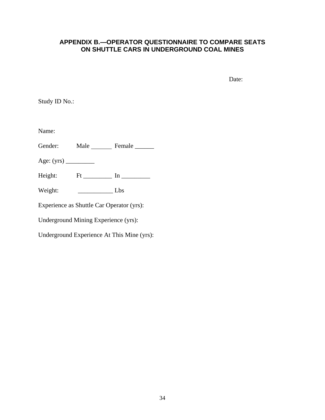## <span id="page-40-0"></span>**APPENDIX B.—OPERATOR QUESTIONNAIRE TO COMPARE SEATS ON SHUTTLE CARS IN UNDERGROUND COAL MINES**

Date:

Study ID No.:

Name:

Gender: Male Female

Age: (yrs) \_\_\_\_\_\_\_\_\_\_

Height:  $Ft$  \_\_\_\_\_\_\_\_\_\_ In \_\_\_\_\_\_\_\_\_\_

Weight: \_\_\_\_\_\_\_\_\_\_\_ Lbs

Experience as Shuttle Car Operator (yrs):

Underground Mining Experience (yrs):

Underground Experience At This Mine (yrs):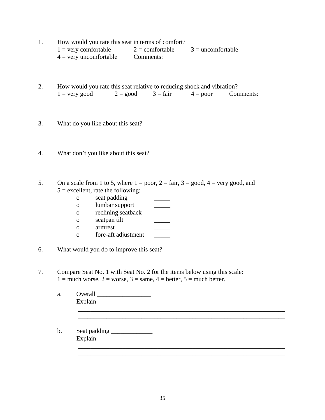- 1. How would you rate this seat in terms of comfort?  $1 =$  very comfortable  $2 =$  comfortable  $3 =$  uncomfortable  $4 = \text{very unconfortable}$  Comments:
- 2. How would you rate this seat relative to reducing shock and vibration?  $1 =$  very good  $2 =$  good  $3 =$  fair  $4 =$  poor Comments:
- 3. What do you like about this seat?
- 4. What don't you like about this seat?
- 5. On a scale from 1 to 5, where  $1 = poor$ ,  $2 = fair$ ,  $3 = good$ ,  $4 = very good$ , and  $5 =$  excellent, rate the following:
	- o seat padding \_\_\_\_\_
	- o lumbar support \_\_\_\_\_
	- o reclining seatback \_\_\_\_\_
	- o seatpan tilt \_\_\_\_\_
	- o armrest \_\_\_\_\_
	- o fore-aft adjustment \_\_\_\_\_
- 6. What would you do to improve this seat?
- 7. Compare Seat No. 1 with Seat No. 2 for the items below using this scale:  $1 =$  much worse,  $2 =$  worse,  $3 =$  same,  $4 =$  better,  $5 =$  much better.

| <b>Overall</b>                                                                                                                                                                                                                                                                                                                                                                                                                             |  |
|--------------------------------------------------------------------------------------------------------------------------------------------------------------------------------------------------------------------------------------------------------------------------------------------------------------------------------------------------------------------------------------------------------------------------------------------|--|
|                                                                                                                                                                                                                                                                                                                                                                                                                                            |  |
|                                                                                                                                                                                                                                                                                                                                                                                                                                            |  |
| Seat padding _____________<br>Explain $\frac{1}{\sqrt{1-\frac{1}{2}}\sqrt{1-\frac{1}{2}}\sqrt{1-\frac{1}{2}}\sqrt{1-\frac{1}{2}}\sqrt{1-\frac{1}{2}}\sqrt{1-\frac{1}{2}}\sqrt{1-\frac{1}{2}}\sqrt{1-\frac{1}{2}}\sqrt{1-\frac{1}{2}}\sqrt{1-\frac{1}{2}}\sqrt{1-\frac{1}{2}}\sqrt{1-\frac{1}{2}}\sqrt{1-\frac{1}{2}}\sqrt{1-\frac{1}{2}}\sqrt{1-\frac{1}{2}}\sqrt{1-\frac{1}{2}}\sqrt{1-\frac{1}{2}}\sqrt{1-\frac{1}{2}}\sqrt{1-\frac{1}{$ |  |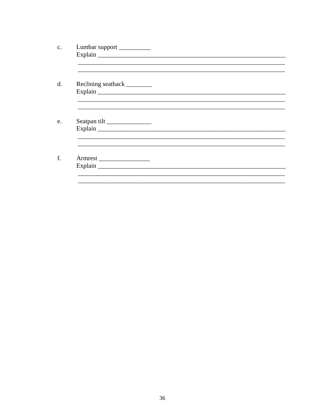| Lumbar support              |  |  |
|-----------------------------|--|--|
|                             |  |  |
|                             |  |  |
|                             |  |  |
|                             |  |  |
| Reclining seatback ________ |  |  |
|                             |  |  |
|                             |  |  |
|                             |  |  |
|                             |  |  |
|                             |  |  |
| Seatpan tilt                |  |  |
|                             |  |  |
|                             |  |  |
|                             |  |  |
|                             |  |  |
| Armrest                     |  |  |
|                             |  |  |
|                             |  |  |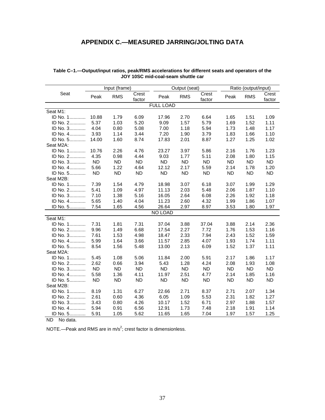## **APPENDIX C.—MEASURED JARRING/JOLTING DATA**

|           |           | Input (frame) |                 |                  | Output (seat) |                 | Ratio (output/input) |            |                 |
|-----------|-----------|---------------|-----------------|------------------|---------------|-----------------|----------------------|------------|-----------------|
| Seat      | Peak      | <b>RMS</b>    | Crest<br>factor | Peak             | <b>RMS</b>    | Crest<br>factor | Peak                 | <b>RMS</b> | Crest<br>factor |
|           |           |               |                 | <b>FULL LOAD</b> |               |                 |                      |            |                 |
| Seat M1:  |           |               |                 |                  |               |                 |                      |            |                 |
| ID No. 1  | 10.88     | 1.79          | 6.09            | 17.96            | 2.70          | 6.64            | 1.65                 | 1.51       | 1.09            |
| ID No. 2  | 5.37      | 1.03          | 5.20            | 9.09             | 1.57          | 5.79            | 1.69                 | 1.52       | 1.11            |
| ID No. 3  | 4.04      | 0.80          | 5.08            | 7.00             | 1.18          | 5.94            | 1.73                 | 1.48       | 1.17            |
| ID No. 4  | 3.93      | 1.14          | 3.44            | 7.20             | 1.90          | 3.79            | 1.83                 | 1.66       | 1.10            |
| ID No. 5  | 14.00     | 1.60          | 8.74            | 17.83            | 2.01          | 8.87            | 1.27                 | 1.25       | 1.02            |
| Seat M2A: |           |               |                 |                  |               |                 |                      |            |                 |
| ID No. 1  | 10.76     | 2.26          | 4.76            | 23.27            | 3.97          | 5.86            | 2.16                 | 1.76       | 1.23            |
| ID No. 2  | 4.35      | 0.98          | 4.44            | 9.03             | 1.77          | 5.11            | 2.08                 | 1.80       | 1.15            |
| ID No. 3  | <b>ND</b> | ND            | <b>ND</b>       | <b>ND</b>        | <b>ND</b>     | <b>ND</b>       | <b>ND</b>            | <b>ND</b>  | ND              |
| ID No. 4  | 5.66      | 1.22          | 4.64            | 12.12            | 2.17          | 5.59            | 2.14                 | 1.78       | 1.20            |
| ID No. 5  | ND.       | <b>ND</b>     | <b>ND</b>       | <b>ND</b>        | <b>ND</b>     | <b>ND</b>       | <b>ND</b>            | <b>ND</b>  | <b>ND</b>       |
| Seat M2B: |           |               |                 |                  |               |                 |                      |            |                 |
| ID No. 1  | 7.39      | 1.54          | 4.79            | 18.98            | 3.07          | 6.18            | 3.07                 | 1.99       | 1.29            |
| ID No. 2  | 5.41      | 1.09          | 4.97            | 11.13            | 2.03          | 5.48            | 2.06                 | 1.87       | 1.10            |
| ID No. 3  | 7.10      | 1.38          | 5.16            | 16.05            | 2.64          | 6.08            | 2.26                 | 1.92       | 1.18            |
| ID No. 4  | 5.65      | 1.40          | 4.04            | 11.23            | 2.60          | 4.32            | 1.99                 | 1.86       | 1.07            |
| ID No. 5  | 7.54      | 1.65          | 4.56            | 26.64            | 2.97          | 8.97            | 3.53                 | 1.80       | 1.97            |
|           |           |               |                 | NO LOAD          |               |                 |                      |            |                 |
| Seat M1:  |           |               |                 |                  |               |                 |                      |            |                 |
| ID No. 1  | 7.31      | 1.81          | 7.31            | 37.04            | 3.88          | 37.04           | 3.88                 | 2.14       | 2.36            |
| ID No. 2  | 9.96      | 1.49          | 6.68            | 17.54            | 2.27          | 7.72            | 1.76                 | 1.53       | 1.16            |
| ID No. 3  | 7.61      | 1.53          | 4.98            | 18.47            | 2.33          | 7.94            | 2.43                 | 1.52       | 1.59            |
| ID No. 4  | 5.99      | 1.64          | 3.66            | 11.57            | 2.85          | 4.07            | 1.93                 | 1.74       | 1.11            |
| ID No. 5  | 8.54      | 1.56          | 5.48            | 13.00            | 2.13          | 6.09            | 1.52                 | 1.37       | 1.11            |
| Seat M2A: |           |               |                 |                  |               |                 |                      |            |                 |
| ID No. 1  | 5.45      | 1.08          | 5.06            | 11.84            | 2.00          | 5.91            | 2.17                 | 1.86       | 1.17            |
| ID No. 2  | 2.62      | 0.66          | 3.94            | 5.43             | 1.28          | 4.24            | 2.08                 | 1.93       | 1.08            |
| ID No. 3  | <b>ND</b> | <b>ND</b>     | <b>ND</b>       | <b>ND</b>        | <b>ND</b>     | <b>ND</b>       | <b>ND</b>            | <b>ND</b>  | <b>ND</b>       |
| ID No. 4  | 5.58      | 1.36          | 4.11            | 11.97            | 2.51          | 4.77            | 2.14                 | 1.85       | 1.16            |
| ID No. 5  | <b>ND</b> | <b>ND</b>     | <b>ND</b>       | <b>ND</b>        | <b>ND</b>     | <b>ND</b>       | <b>ND</b>            | <b>ND</b>  | <b>ND</b>       |
| Seat M2B: |           |               |                 |                  |               |                 |                      |            |                 |
| ID No. 1  | 8.19      | 1.31          | 6.27            | 22.66            | 2.71          | 8.37            | 2.71                 | 2.07       | 1.34            |
| ID No. 2  | 2.61      | 0.60          | 4.36            | 6.05             | 1.09          | 5.53            | 2.31                 | 1.82       | 1.27            |
| ID No. 3  | 3.43      | 0.80          | 4.26            | 10.17            | 1.52          | 6.71            | 2.97                 | 1.88       | 1.57            |
| ID No. 4  | 5.94      | 0.91          | 6.56            | 12.91            | 1.73          | 7.48            | 2.18                 | 1.91       | 1.14            |
| ID No. 5  | 5.91      | 1.05          | 5.62            | 11.65            | 1.65          | 7.04            | 1.97                 | 1.57       | 1.25            |

| Table C–1.—Output/input ratios, peak/RMS accelerations for different seats and operators of the |
|-------------------------------------------------------------------------------------------------|
| JOY 10SC mid-coal-seam shuttle car                                                              |

ND No data.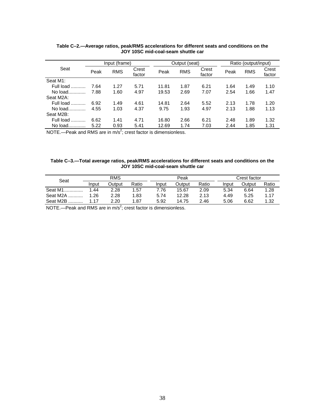|           | Input (frame) |            | Output (seat)   |       |            | Ratio (output/input) |      |            |                 |
|-----------|---------------|------------|-----------------|-------|------------|----------------------|------|------------|-----------------|
| Seat      | Peak          | <b>RMS</b> | Crest<br>factor | Peak  | <b>RMS</b> | Crest<br>factor      | Peak | <b>RMS</b> | Crest<br>factor |
| Seat M1:  |               |            |                 |       |            |                      |      |            |                 |
| Full load | 7.64          | 1.27       | 5.71            | 11.81 | 1.87       | 6.21                 | 1.64 | 1.49       | 1.10            |
| No load   | 7.88          | 1.60       | 4.97            | 19.53 | 2.69       | 7.07                 | 2.54 | 1.66       | 1.47            |
| Seat M2A: |               |            |                 |       |            |                      |      |            |                 |
| Full load | 6.92          | 1.49       | 4.61            | 14.81 | 2.64       | 5.52                 | 2.13 | 1.78       | 1.20            |
| No load   | 4.55          | 1.03       | 4.37            | 9.75  | 1.93       | 4.97                 | 2.13 | 1.88       | 1.13            |
| Seat M2B: |               |            |                 |       |            |                      |      |            |                 |
| Full load | 6.62          | 1.41       | 4.71            | 16.80 | 2.66       | 6.21                 | 2.48 | 1.89       | 1.32            |
| No load.  | 5.22          | 0.93       | 5.41            | 12.69 | 1.74       | 7.03                 | 2.44 | 1.85       | 1.31            |

#### **Table C–2.—Average ratios, peak/RMS accelerations for different seats and conditions on the JOY 10SC mid-coal-seam shuttle car**

NOTE.—Peak and RMS are in  $m/s^2$ ; crest factor is dimensionless.

#### **Table C–3.—Total average ratios, peak/RMS accelerations for different seats and conditions on the JOY 10SC mid-coal-seam shuttle car**

| Seat     |       | <b>RMS</b> |       |       | Peak   |       |       | Crest factor |       |  |
|----------|-------|------------|-------|-------|--------|-------|-------|--------------|-------|--|
|          | Input | Output     | Ratio | Input | Output | Ratio | Input | Output       | Ratio |  |
| Seat M1  | 1.44  | 2.28       | 1.57  | 7.76  | 15.67  | 2.09  | 5.34  | 6.64         | 1.28  |  |
| Seat M2A | .26   | 2.28       | 1.83  | 5.74  | 12.28  | 2.13  | 4.49  | 5.25         | 1.17  |  |
| Seat M2B | 1 17  | 2.20       | 1.87  | 5.92  | 14.75  | 2.46  | 5.06  | 6.62         | 1.32  |  |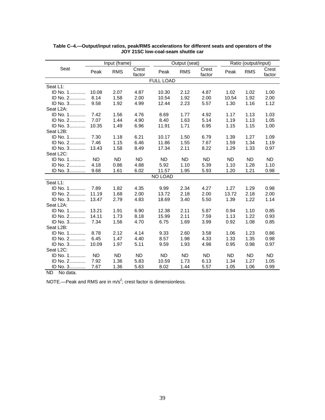|                        |           | Input (frame) |                 |                  | Output (seat) |                 |       | Ratio (output/input) |                 |  |
|------------------------|-----------|---------------|-----------------|------------------|---------------|-----------------|-------|----------------------|-----------------|--|
| Seat                   | Peak      | <b>RMS</b>    | Crest<br>factor | Peak             | <b>RMS</b>    | Crest<br>factor | Peak  | <b>RMS</b>           | Crest<br>factor |  |
|                        |           |               |                 | <b>FULL LOAD</b> |               |                 |       |                      |                 |  |
| Seat L1:               |           |               |                 |                  |               |                 |       |                      |                 |  |
| ID No. 1               | 10.08     | 2.07          | 4.87            | 10.30            | 2.12          | 4.87            | 1.02  | 1.02                 | 1.00            |  |
| ID No. 2               | 8.14      | 1.58          | 2.00            | 10.54            | 1.92          | 2.00            | 10.54 | 1.92                 | 2.00            |  |
| ID No. 3               | 9.58      | 1.92          | 4.99            | 12.44            | 2.23          | 5.57            | 1.30  | 1.16                 | 1.12            |  |
| Seat L <sub>2</sub> A: |           |               |                 |                  |               |                 |       |                      |                 |  |
| ID No. 1               | 7.42      | 1.56          | 4.76            | 8.69             | 1.77          | 4.92            | 1.17  | 1.13                 | 1.03            |  |
| ID No. 2               | 7.07      | 1.44          | 4.90            | 8.40             | 1.63          | 5.14            | 1.19  | 1.13                 | 1.05            |  |
| ID No. 3               | 10.35     | 1.49          | 6.96            | 11.91            | 1.71          | 6.95            | 1.15  | 1.15                 | 1.00            |  |
| Seat L2B:              |           |               |                 |                  |               |                 |       |                      |                 |  |
| ID No. 1               | 7.30      | 1.18          | 6.21            | 10.17            | 1.50          | 6.79            | 1.39  | 1.27                 | 1.09            |  |
| ID No. 2               | 7.46      | 1.15          | 6.46            | 11.86            | 1.55          | 7.67            | 1.59  | 1.34                 | 1.19            |  |
| ID No. 3               | 13.43     | 1.58          | 8.49            | 17.34            | 2.11          | 8.22            | 1.29  | 1.33                 | 0.97            |  |
| Seat L <sub>2C</sub> : |           |               |                 |                  |               |                 |       |                      |                 |  |
| ID No. 1               | <b>ND</b> | <b>ND</b>     | <b>ND</b>       | <b>ND</b>        | <b>ND</b>     | <b>ND</b>       | ND.   | ND.                  | <b>ND</b>       |  |
| ID No. 2               | 4.18      | 0.86          | 4.88            | 5.92             | 1.10          | 5.39            | 1.10  | 1.28                 | 1.10            |  |
| ID No. 3               | 9.68      | 1.61          | 6.02            | 11.57            | 1.95          | 5.93            | 1.20  | 1.21                 | 0.98            |  |
|                        |           |               |                 | NO LOAD          |               |                 |       |                      |                 |  |
| Seat L1:               |           |               |                 |                  |               |                 |       |                      |                 |  |
| ID No. 1               | 7.89      | 1.82          | 4.35            | 9.99             | 2.34          | 4.27            | 1.27  | 1.29                 | 0.98            |  |
| ID No. 2               | 11.19     | 1.68          | 2.00            | 13.72            | 2.18          | 2.00            | 13.72 | 2.18                 | 2.00            |  |
| ID No. 3               | 13.47     | 2.79          | 4.83            | 18.69            | 3.40          | 5.50            | 1.39  | 1.22                 | 1.14            |  |
| Seat L2A:              |           |               |                 |                  |               |                 |       |                      |                 |  |
| ID No. 1               | 13.21     | 1.91          | 6.90            | 12.38            | 2.11          | 5.87            | 0.94  | 1.10                 | 0.85            |  |
| ID No. 2               | 14.11     | 1.73          | 8.18            | 15.99            | 2.11          | 7.59            | 1.13  | 1.22                 | 0.93            |  |
| ID No. $3$             | 7.34      | 1.56          | 4.70            | 6.75             | 1.69          | 3.99            | 0.92  | 1.08                 | 0.85            |  |
| Seat L2B:              |           |               |                 |                  |               |                 |       |                      |                 |  |
| ID No. 1               | 8.78      | 2.12          | 4.14            | 9.33             | 2.60          | 3.58            | 1.06  | 1.23                 | 0.86            |  |
| ID No. 2               | 6.45      | 1.47          | 4.40            | 8.57             | 1.98          | 4.33            | 1.33  | 1.35                 | 0.98            |  |
| ID No. 3               | 10.09     | 1.97          | 5.11            | 9.59             | 1.93          | 4.98            | 0.95  | 0.98                 | 0.97            |  |
| Seat L <sub>2C</sub> : |           |               |                 |                  |               |                 |       |                      |                 |  |
| ID No. 1               | <b>ND</b> | <b>ND</b>     | <b>ND</b>       | <b>ND</b>        | ND.           | <b>ND</b>       | ND.   | <b>ND</b>            | <b>ND</b>       |  |
| ID No. 2               | 7.92      | 1.36          | 5.83            | 10.59            | 1.73          | 6.13            | 1.34  | 1.27                 | 1.05            |  |
| ID No. 3               | 7.67      | 1.36          | 5.63            | 8.02             | 1.44          | 5.57            | 1.05  | 1.06                 | 0.99            |  |

#### **Table C–4.—Output/input ratios, peak/RMS accelerations for different seats and operators of the JOY 21SC low-coal-seam shuttle car**

ND No data.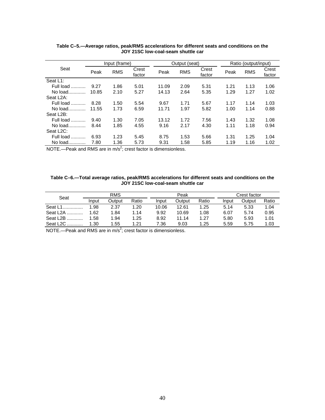|                        | Input (frame) |            |                 |       | Output (seat) |                 |      | Ratio (output/input) |                 |  |
|------------------------|---------------|------------|-----------------|-------|---------------|-----------------|------|----------------------|-----------------|--|
| Seat                   | Peak          | <b>RMS</b> | Crest<br>factor | Peak  | <b>RMS</b>    | Crest<br>factor | Peak | <b>RMS</b>           | Crest<br>factor |  |
| Seat L1:               |               |            |                 |       |               |                 |      |                      |                 |  |
| Full load<br>.         | 9.27          | 1.86       | 5.01            | 11.09 | 2.09          | 5.31            | 1.21 | 1.13                 | 1.06            |  |
| No load                | 10.85         | 2.10       | 5.27            | 14.13 | 2.64          | 5.35            | 1.29 | 1.27                 | 1.02            |  |
| Seat L <sub>2</sub> A: |               |            |                 |       |               |                 |      |                      |                 |  |
| Full load<br>.         | 8.28          | 1.50       | 5.54            | 9.67  | 1.71          | 5.67            | 1.17 | 1.14                 | 1.03            |  |
| No load                | 11.55         | 1.73       | 6.59            | 11.71 | 1.97          | 5.82            | 1.00 | 1.14                 | 0.88            |  |
| Seat L <sub>2B</sub> : |               |            |                 |       |               |                 |      |                      |                 |  |
| Full load<br>.         | 9.40          | 1.30       | 7.05            | 13.12 | 1.72          | 7.56            | 1.43 | 1.32                 | 1.08            |  |
| No $load$              | 8.44          | 1.85       | 4.55            | 9.16  | 2.17          | 4.30            | 1.11 | 1.18                 | 0.94            |  |
| Seat L <sub>2C</sub> : |               |            |                 |       |               |                 |      |                      |                 |  |
| Full load<br>.         | 6.93          | 1.23       | 5.45            | 8.75  | 1.53          | 5.66            | 1.31 | 1.25                 | 1.04            |  |
| No load                | 7.80          | 1.36       | 5.73            | 9.31  | 1.58          | 5.85            | 1.19 | 1.16                 | 1.02            |  |

#### **Table C–5.—Average ratios, peak/RMS accelerations for different seats and conditions on the JOY 21SC low-coal-seam shuttle car**

NOTE.—Peak and RMS are in  $m/s^2$ ; crest factor is dimensionless.

#### **Table C–6.—Total average ratios, peak/RMS accelerations for different seats and conditions on the JOY 21SC low-coal-seam shuttle car**

|                       |       | <b>RMS</b> |       |       | Peak   |       |       | Crest factor |       |  |
|-----------------------|-------|------------|-------|-------|--------|-------|-------|--------------|-------|--|
| Seat                  | Input | Output     | Ratio | Input | Output | Ratio | Input | Output       | Ratio |  |
| Seat L1               | 1.98  | 2.37       | 1.20  | 10.06 | 12.61  | 1.25  | 5.14  | 5.33         | 1.04  |  |
| Seat L <sub>2</sub> A | 1.62  | 1.84       | 1.14  | 9.92  | 10.69  | 1.08  | 6.07  | 5.74         | 0.95  |  |
| Seat L <sub>2</sub> B | 1.58  | 1.94       | 1.25  | 8.92  | 11.14  | 1.27  | 5.80  | 5.93         | 1.01  |  |
| Seat L <sub>2C</sub>  | 1.30  | 1.55       | 1.21  | 7.36  | 9.03   | 1.25  | 5.59  | 5.75         | 1.03  |  |